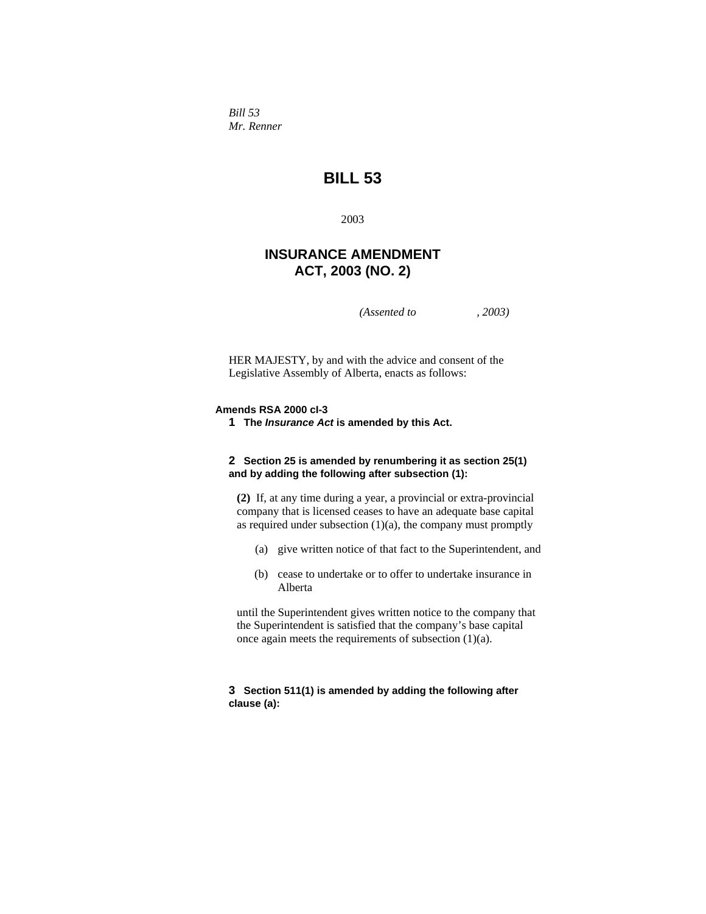*Bill 53 Mr. Renner* 

# **BILL 53**

2003

# **INSURANCE AMENDMENT ACT, 2003 (NO. 2)**

*(Assented to , 2003)* 

HER MAJESTY, by and with the advice and consent of the Legislative Assembly of Alberta, enacts as follows:

# **Amends RSA 2000 cI-3**

**1 The** *Insurance Act* **is amended by this Act.**

# **2 Section 25 is amended by renumbering it as section 25(1) and by adding the following after subsection (1):**

**(2)** If, at any time during a year, a provincial or extra-provincial company that is licensed ceases to have an adequate base capital as required under subsection  $(1)(a)$ , the company must promptly

- (a) give written notice of that fact to the Superintendent, and
- (b) cease to undertake or to offer to undertake insurance in Alberta

until the Superintendent gives written notice to the company that the Superintendent is satisfied that the company's base capital once again meets the requirements of subsection (1)(a).

## **3 Section 511(1) is amended by adding the following after clause (a):**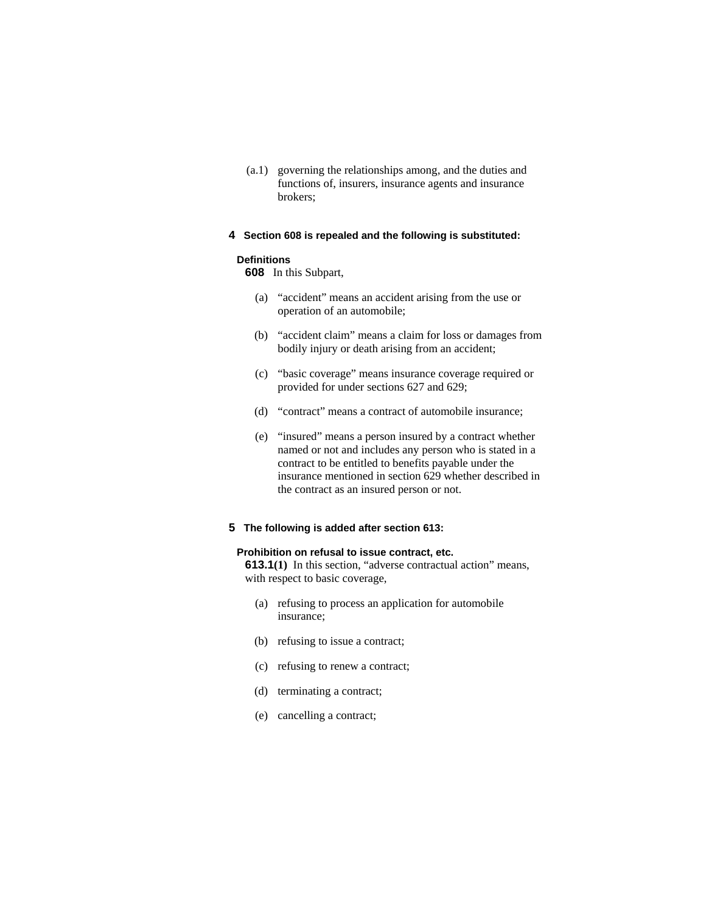(a.1) governing the relationships among, and the duties and functions of, insurers, insurance agents and insurance brokers;

## **4 Section 608 is repealed and the following is substituted:**

## **Definitions**

**608** In this Subpart,

- (a) "accident" means an accident arising from the use or operation of an automobile;
- (b) "accident claim" means a claim for loss or damages from bodily injury or death arising from an accident;
- (c) "basic coverage" means insurance coverage required or provided for under sections 627 and 629;
- (d) "contract" means a contract of automobile insurance;
- (e) "insured" means a person insured by a contract whether named or not and includes any person who is stated in a contract to be entitled to benefits payable under the insurance mentioned in section 629 whether described in the contract as an insured person or not.

# **5 The following is added after section 613:**

# **Prohibition on refusal to issue contract, etc.**

**613.1(1)** In this section, "adverse contractual action" means, with respect to basic coverage,

- (a) refusing to process an application for automobile insurance;
- (b) refusing to issue a contract;
- (c) refusing to renew a contract;
- (d) terminating a contract;
- (e) cancelling a contract;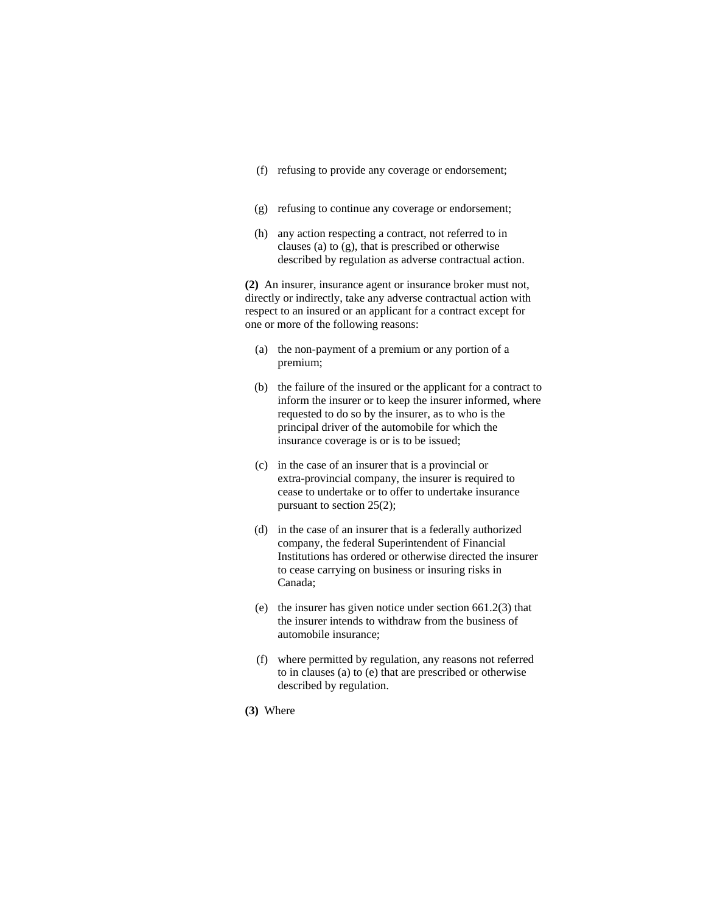- (f) refusing to provide any coverage or endorsement;
- (g) refusing to continue any coverage or endorsement;
- (h) any action respecting a contract, not referred to in clauses (a) to (g), that is prescribed or otherwise described by regulation as adverse contractual action.

**(2)** An insurer, insurance agent or insurance broker must not, directly or indirectly, take any adverse contractual action with respect to an insured or an applicant for a contract except for one or more of the following reasons:

- (a) the non-payment of a premium or any portion of a premium;
- (b) the failure of the insured or the applicant for a contract to inform the insurer or to keep the insurer informed, where requested to do so by the insurer, as to who is the principal driver of the automobile for which the insurance coverage is or is to be issued;
- (c) in the case of an insurer that is a provincial or extra-provincial company, the insurer is required to cease to undertake or to offer to undertake insurance pursuant to section 25(2);
- (d) in the case of an insurer that is a federally authorized company, the federal Superintendent of Financial Institutions has ordered or otherwise directed the insurer to cease carrying on business or insuring risks in Canada;
- (e) the insurer has given notice under section 661.2(3) that the insurer intends to withdraw from the business of automobile insurance;
- (f) where permitted by regulation, any reasons not referred to in clauses (a) to (e) that are prescribed or otherwise described by regulation.
- **(3)** Where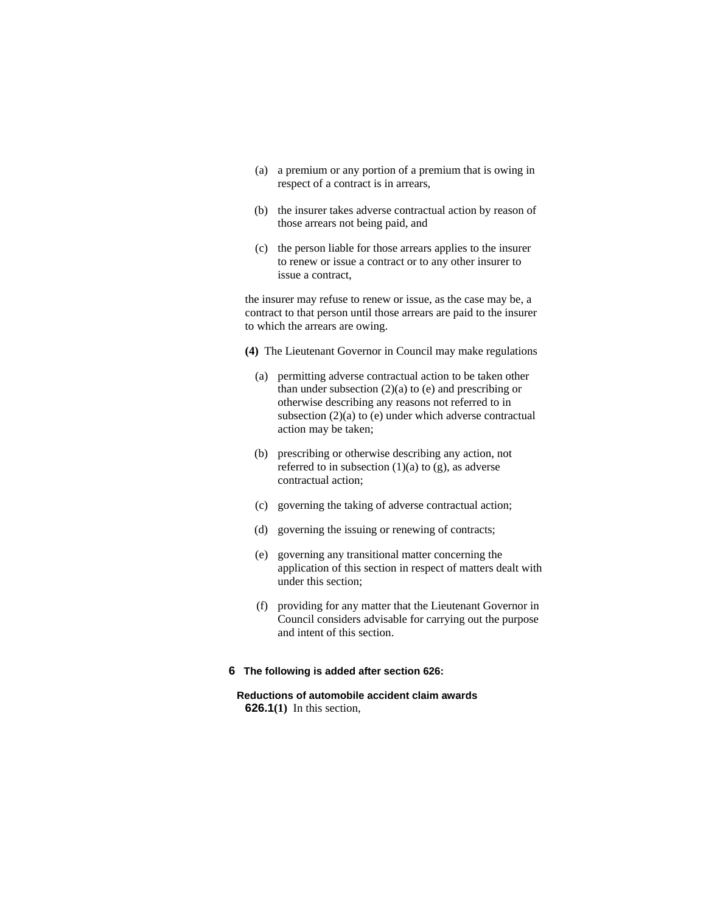- (a) a premium or any portion of a premium that is owing in respect of a contract is in arrears,
- (b) the insurer takes adverse contractual action by reason of those arrears not being paid, and
- (c) the person liable for those arrears applies to the insurer to renew or issue a contract or to any other insurer to issue a contract,

the insurer may refuse to renew or issue, as the case may be, a contract to that person until those arrears are paid to the insurer to which the arrears are owing.

- **(4)** The Lieutenant Governor in Council may make regulations
	- (a) permitting adverse contractual action to be taken other than under subsection  $(2)(a)$  to  $(e)$  and prescribing or otherwise describing any reasons not referred to in subsection (2)(a) to (e) under which adverse contractual action may be taken;
	- (b) prescribing or otherwise describing any action, not referred to in subsection  $(1)(a)$  to  $(g)$ , as adverse contractual action;
	- (c) governing the taking of adverse contractual action;
	- (d) governing the issuing or renewing of contracts;
	- (e) governing any transitional matter concerning the application of this section in respect of matters dealt with under this section;
	- (f) providing for any matter that the Lieutenant Governor in Council considers advisable for carrying out the purpose and intent of this section.
- **6 The following is added after section 626:**
	- **Reductions of automobile accident claim awards 626.1(1)** In this section,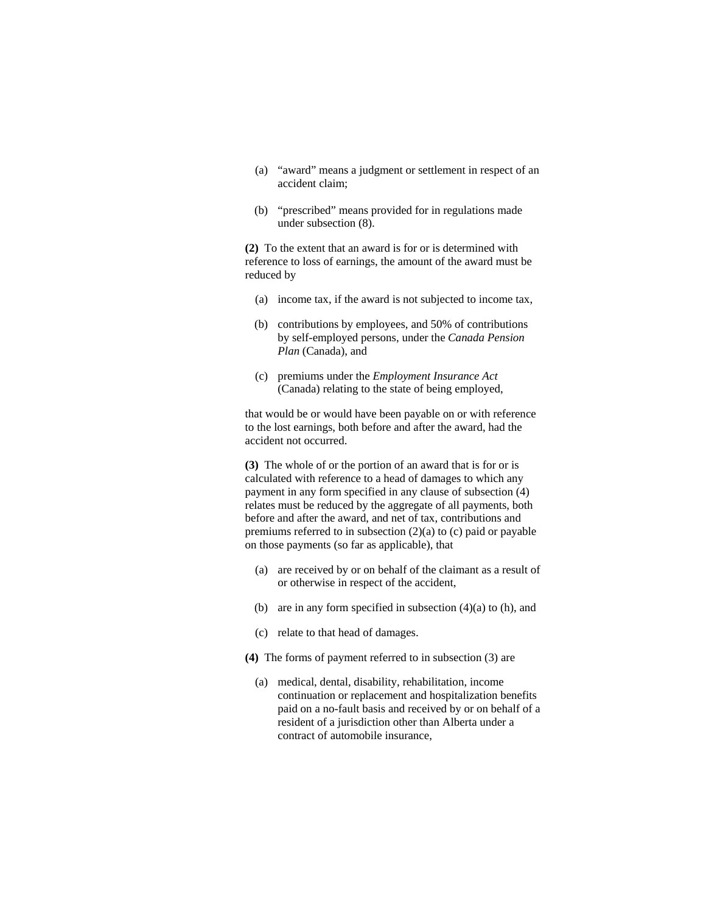- (a) "award" means a judgment or settlement in respect of an accident claim;
- (b) "prescribed" means provided for in regulations made under subsection (8).

**(2)** To the extent that an award is for or is determined with reference to loss of earnings, the amount of the award must be reduced by

- (a) income tax, if the award is not subjected to income tax,
- (b) contributions by employees, and 50% of contributions by self-employed persons, under the *Canada Pension Plan* (Canada), and
- (c) premiums under the *Employment Insurance Act* (Canada) relating to the state of being employed,

that would be or would have been payable on or with reference to the lost earnings, both before and after the award, had the accident not occurred.

**(3)** The whole of or the portion of an award that is for or is calculated with reference to a head of damages to which any payment in any form specified in any clause of subsection (4) relates must be reduced by the aggregate of all payments, both before and after the award, and net of tax, contributions and premiums referred to in subsection (2)(a) to (c) paid or payable on those payments (so far as applicable), that

- (a) are received by or on behalf of the claimant as a result of or otherwise in respect of the accident,
- (b) are in any form specified in subsection (4)(a) to (h), and
- (c) relate to that head of damages.
- **(4)** The forms of payment referred to in subsection (3) are
	- (a) medical, dental, disability, rehabilitation, income continuation or replacement and hospitalization benefits paid on a no-fault basis and received by or on behalf of a resident of a jurisdiction other than Alberta under a contract of automobile insurance,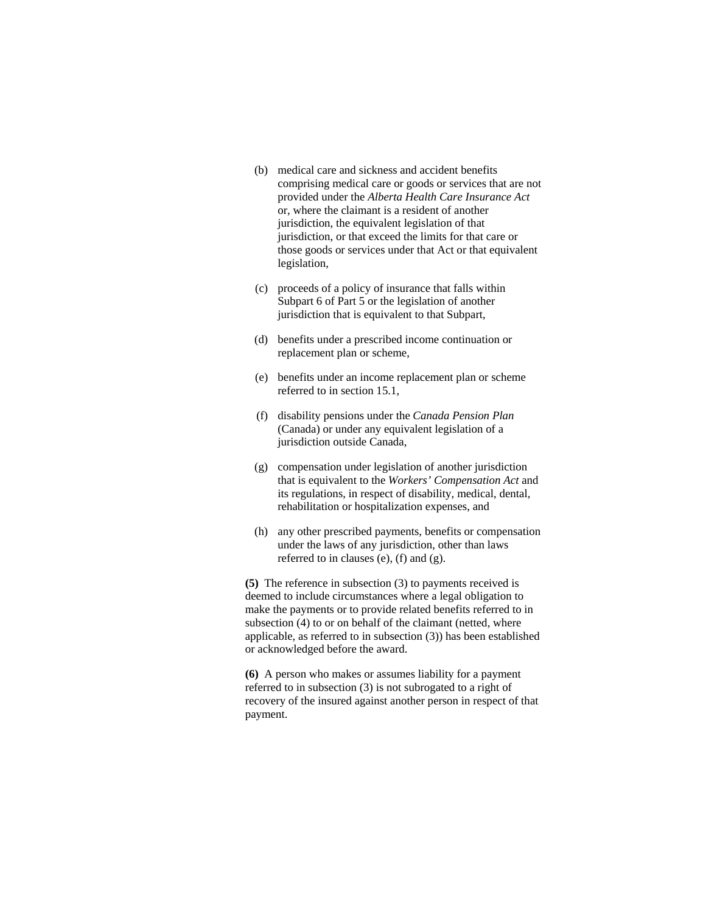- (b) medical care and sickness and accident benefits comprising medical care or goods or services that are not provided under the *Alberta Health Care Insurance Act* or, where the claimant is a resident of another jurisdiction, the equivalent legislation of that jurisdiction, or that exceed the limits for that care or those goods or services under that Act or that equivalent legislation,
- (c) proceeds of a policy of insurance that falls within Subpart 6 of Part 5 or the legislation of another jurisdiction that is equivalent to that Subpart,
- (d) benefits under a prescribed income continuation or replacement plan or scheme,
- (e) benefits under an income replacement plan or scheme referred to in section 15.1,
- (f) disability pensions under the *Canada Pension Plan* (Canada) or under any equivalent legislation of a jurisdiction outside Canada,
- (g) compensation under legislation of another jurisdiction that is equivalent to the *Workers' Compensation Act* and its regulations, in respect of disability, medical, dental, rehabilitation or hospitalization expenses, and
- (h) any other prescribed payments, benefits or compensation under the laws of any jurisdiction, other than laws referred to in clauses (e), (f) and (g).

**(5)** The reference in subsection (3) to payments received is deemed to include circumstances where a legal obligation to make the payments or to provide related benefits referred to in subsection (4) to or on behalf of the claimant (netted, where applicable, as referred to in subsection (3)) has been established or acknowledged before the award.

**(6)** A person who makes or assumes liability for a payment referred to in subsection (3) is not subrogated to a right of recovery of the insured against another person in respect of that payment.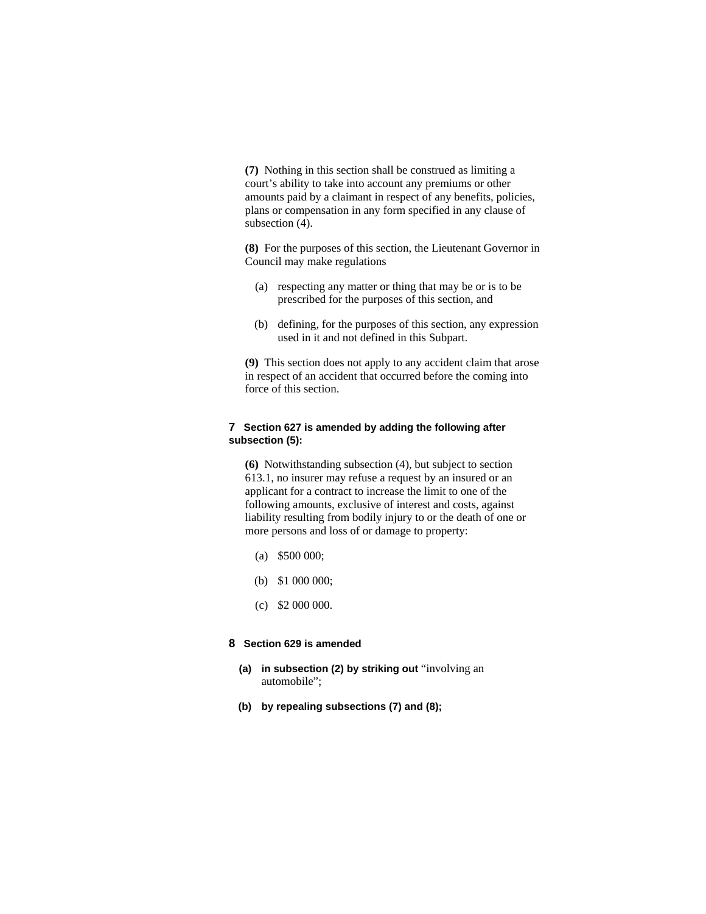**(7)** Nothing in this section shall be construed as limiting a court's ability to take into account any premiums or other amounts paid by a claimant in respect of any benefits, policies, plans or compensation in any form specified in any clause of subsection (4).

**(8)** For the purposes of this section, the Lieutenant Governor in Council may make regulations

- (a) respecting any matter or thing that may be or is to be prescribed for the purposes of this section, and
- (b) defining, for the purposes of this section, any expression used in it and not defined in this Subpart.

**(9)** This section does not apply to any accident claim that arose in respect of an accident that occurred before the coming into force of this section.

# **7 Section 627 is amended by adding the following after subsection (5):**

**(6)** Notwithstanding subsection (4), but subject to section 613.1, no insurer may refuse a request by an insured or an applicant for a contract to increase the limit to one of the following amounts, exclusive of interest and costs, against liability resulting from bodily injury to or the death of one or more persons and loss of or damage to property:

- (a) \$500 000;
- (b) \$1 000 000;
- $(c)$  \$2 000 000.

# **8 Section 629 is amended**

- **(a) in subsection (2) by striking out** "involving an automobile";
- **(b) by repealing subsections (7) and (8);**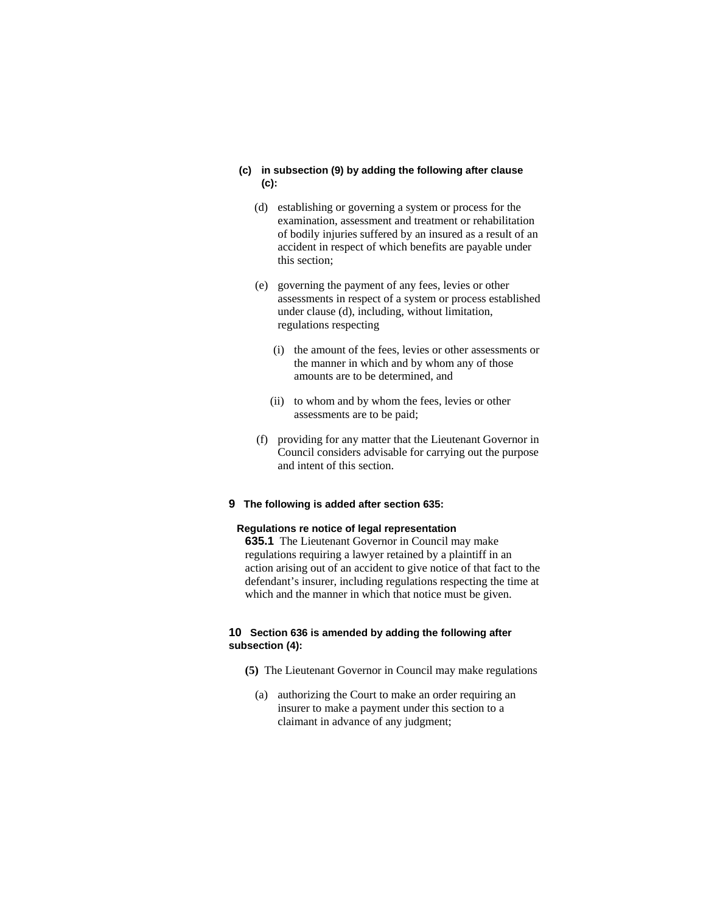## **(c) in subsection (9) by adding the following after clause (c):**

- (d) establishing or governing a system or process for the examination, assessment and treatment or rehabilitation of bodily injuries suffered by an insured as a result of an accident in respect of which benefits are payable under this section;
- (e) governing the payment of any fees, levies or other assessments in respect of a system or process established under clause (d), including, without limitation, regulations respecting
	- (i) the amount of the fees, levies or other assessments or the manner in which and by whom any of those amounts are to be determined, and
	- (ii) to whom and by whom the fees, levies or other assessments are to be paid;
- (f) providing for any matter that the Lieutenant Governor in Council considers advisable for carrying out the purpose and intent of this section.
- **9 The following is added after section 635:**

# **Regulations re notice of legal representation**

**635.1** The Lieutenant Governor in Council may make regulations requiring a lawyer retained by a plaintiff in an action arising out of an accident to give notice of that fact to the defendant's insurer, including regulations respecting the time at which and the manner in which that notice must be given.

# **10 Section 636 is amended by adding the following after subsection (4):**

- **(5)** The Lieutenant Governor in Council may make regulations
	- (a) authorizing the Court to make an order requiring an insurer to make a payment under this section to a claimant in advance of any judgment;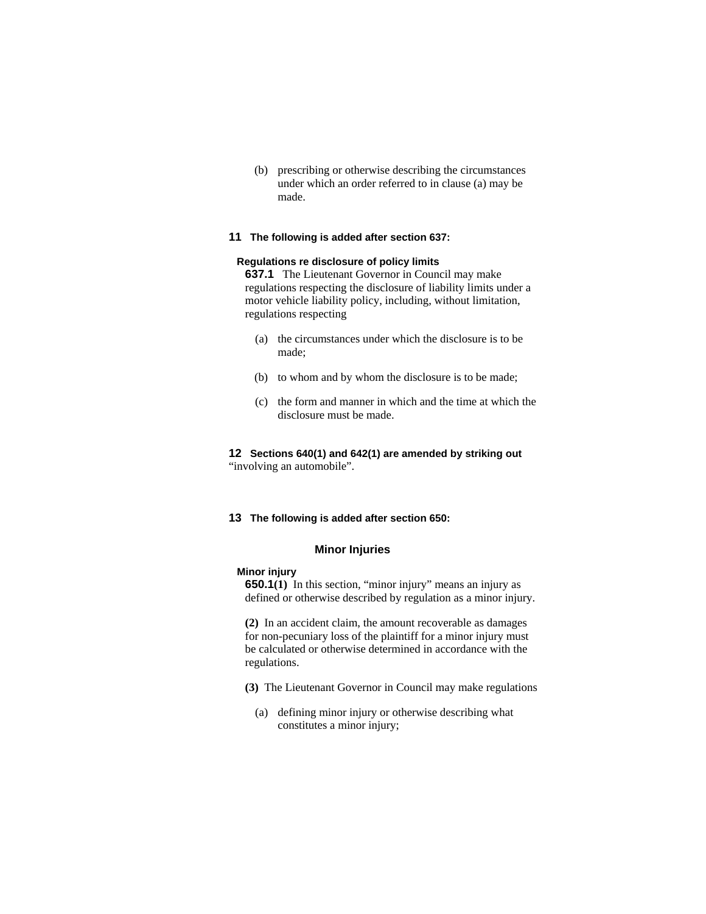(b) prescribing or otherwise describing the circumstances under which an order referred to in clause (a) may be made.

## **11 The following is added after section 637:**

## **Regulations re disclosure of policy limits**

**637.1** The Lieutenant Governor in Council may make regulations respecting the disclosure of liability limits under a motor vehicle liability policy, including, without limitation, regulations respecting

- (a) the circumstances under which the disclosure is to be made;
- (b) to whom and by whom the disclosure is to be made;
- (c) the form and manner in which and the time at which the disclosure must be made.

# **12 Sections 640(1) and 642(1) are amended by striking out**

"involving an automobile".

#### **13 The following is added after section 650:**

## **Minor Injuries**

## **Minor injury**

**650.1(1)** In this section, "minor injury" means an injury as defined or otherwise described by regulation as a minor injury.

**(2)** In an accident claim, the amount recoverable as damages for non-pecuniary loss of the plaintiff for a minor injury must be calculated or otherwise determined in accordance with the regulations.

- **(3)** The Lieutenant Governor in Council may make regulations
	- (a) defining minor injury or otherwise describing what constitutes a minor injury;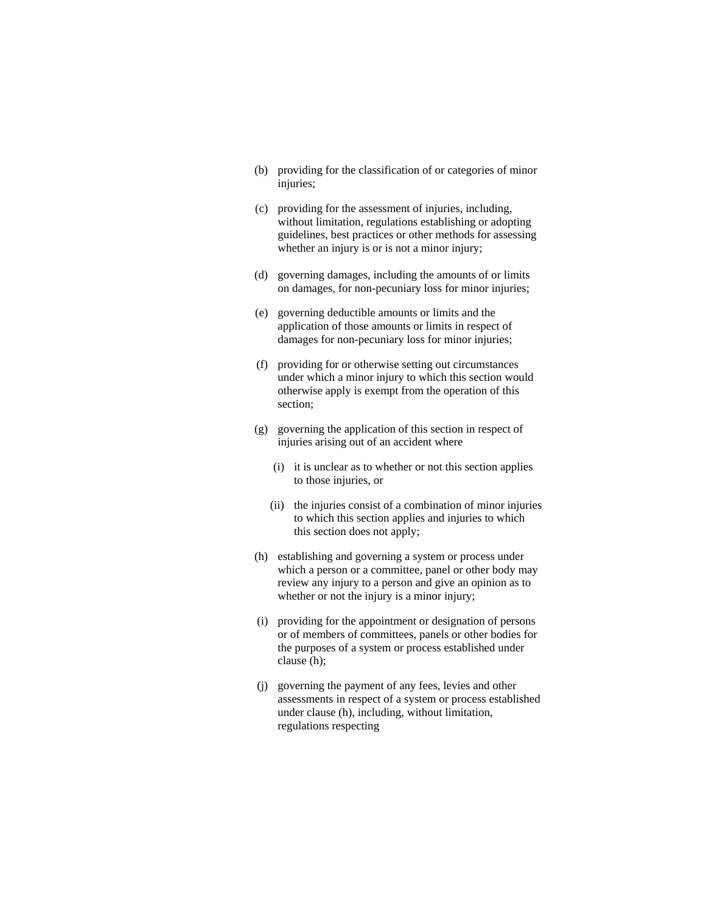- (b) providing for the classification of or categories of minor injuries;
- (c) providing for the assessment of injuries, including, without limitation, regulations establishing or adopting guidelines, best practices or other methods for assessing whether an injury is or is not a minor injury;
- (d) governing damages, including the amounts of or limits on damages, for non-pecuniary loss for minor injuries;
- (e) governing deductible amounts or limits and the application of those amounts or limits in respect of damages for non-pecuniary loss for minor injuries;
- (f) providing for or otherwise setting out circumstances under which a minor injury to which this section would otherwise apply is exempt from the operation of this section;
- (g) governing the application of this section in respect of injuries arising out of an accident where
	- (i) it is unclear as to whether or not this section applies to those injuries, or
	- (ii) the injuries consist of a combination of minor injuries to which this section applies and injuries to which this section does not apply;
- (h) establishing and governing a system or process under which a person or a committee, panel or other body may review any injury to a person and give an opinion as to whether or not the injury is a minor injury;
- (i) providing for the appointment or designation of persons or of members of committees, panels or other bodies for the purposes of a system or process established under clause (h);
- (j) governing the payment of any fees, levies and other assessments in respect of a system or process established under clause (h), including, without limitation, regulations respecting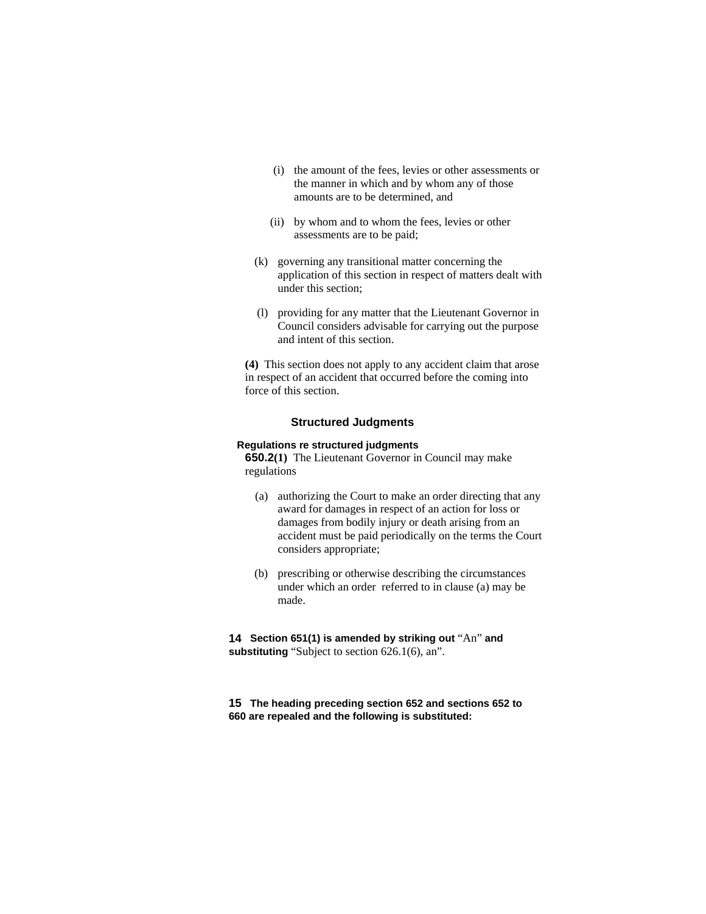- (i) the amount of the fees, levies or other assessments or the manner in which and by whom any of those amounts are to be determined, and
- (ii) by whom and to whom the fees, levies or other assessments are to be paid;
- (k) governing any transitional matter concerning the application of this section in respect of matters dealt with under this section;
- (l) providing for any matter that the Lieutenant Governor in Council considers advisable for carrying out the purpose and intent of this section.

**(4)** This section does not apply to any accident claim that arose in respect of an accident that occurred before the coming into force of this section.

#### **Structured Judgments**

## **Regulations re structured judgments**

**650.2(1)** The Lieutenant Governor in Council may make regulations

- (a) authorizing the Court to make an order directing that any award for damages in respect of an action for loss or damages from bodily injury or death arising from an accident must be paid periodically on the terms the Court considers appropriate;
- (b) prescribing or otherwise describing the circumstances under which an order referred to in clause (a) may be made.

**14 Section 651(1) is amended by striking out** "An" **and substituting** "Subject to section 626.1(6), an".

**15 The heading preceding section 652 and sections 652 to 660 are repealed and the following is substituted:**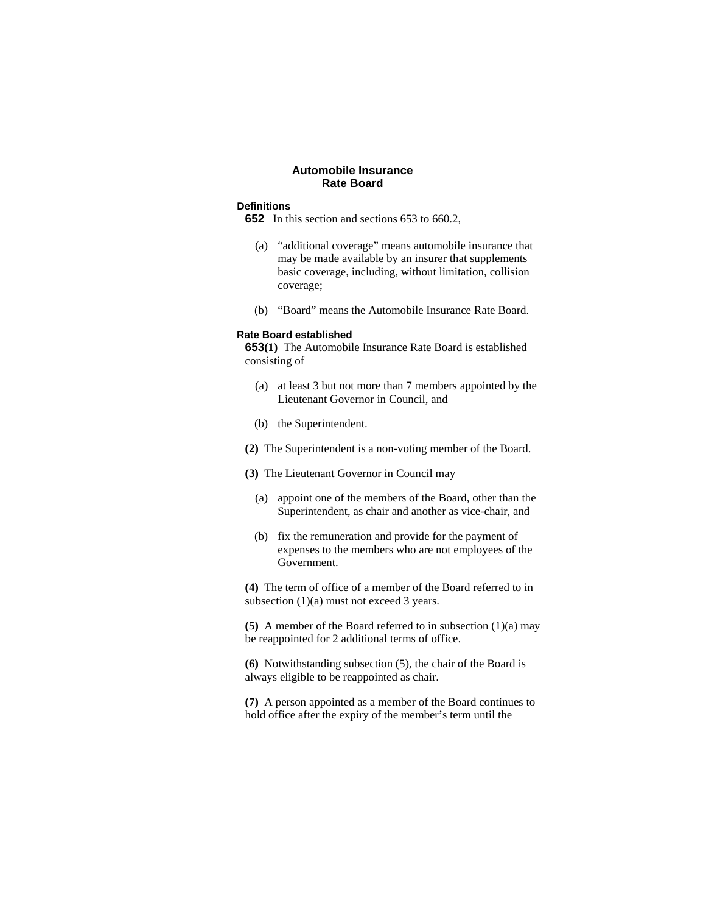# **Automobile Insurance Rate Board**

## **Definitions**

- **652** In this section and sections 653 to 660.2,
	- (a) "additional coverage" means automobile insurance that may be made available by an insurer that supplements basic coverage, including, without limitation, collision coverage;
	- (b) "Board" means the Automobile Insurance Rate Board.

#### **Rate Board established**

**653(1)** The Automobile Insurance Rate Board is established consisting of

- (a) at least 3 but not more than 7 members appointed by the Lieutenant Governor in Council, and
- (b) the Superintendent.
- **(2)** The Superintendent is a non-voting member of the Board.
- **(3)** The Lieutenant Governor in Council may
	- (a) appoint one of the members of the Board, other than the Superintendent, as chair and another as vice-chair, and
	- (b) fix the remuneration and provide for the payment of expenses to the members who are not employees of the Government.

**(4)** The term of office of a member of the Board referred to in subsection  $(1)(a)$  must not exceed 3 years.

**(5)** A member of the Board referred to in subsection (1)(a) may be reappointed for 2 additional terms of office.

**(6)** Notwithstanding subsection (5), the chair of the Board is always eligible to be reappointed as chair.

**(7)** A person appointed as a member of the Board continues to hold office after the expiry of the member's term until the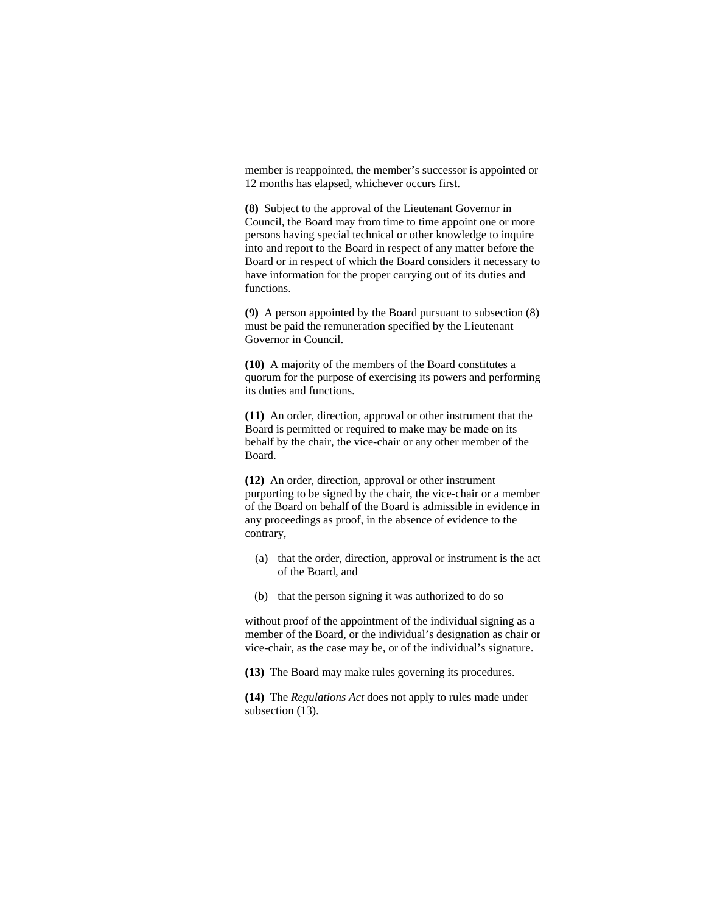member is reappointed, the member's successor is appointed or 12 months has elapsed, whichever occurs first.

**(8)** Subject to the approval of the Lieutenant Governor in Council, the Board may from time to time appoint one or more persons having special technical or other knowledge to inquire into and report to the Board in respect of any matter before the Board or in respect of which the Board considers it necessary to have information for the proper carrying out of its duties and functions.

**(9)** A person appointed by the Board pursuant to subsection (8) must be paid the remuneration specified by the Lieutenant Governor in Council.

**(10)** A majority of the members of the Board constitutes a quorum for the purpose of exercising its powers and performing its duties and functions.

**(11)** An order, direction, approval or other instrument that the Board is permitted or required to make may be made on its behalf by the chair, the vice-chair or any other member of the Board.

**(12)** An order, direction, approval or other instrument purporting to be signed by the chair, the vice-chair or a member of the Board on behalf of the Board is admissible in evidence in any proceedings as proof, in the absence of evidence to the contrary,

- (a) that the order, direction, approval or instrument is the act of the Board, and
- (b) that the person signing it was authorized to do so

without proof of the appointment of the individual signing as a member of the Board, or the individual's designation as chair or vice-chair, as the case may be, or of the individual's signature.

**(13)** The Board may make rules governing its procedures.

**(14)** The *Regulations Act* does not apply to rules made under subsection (13).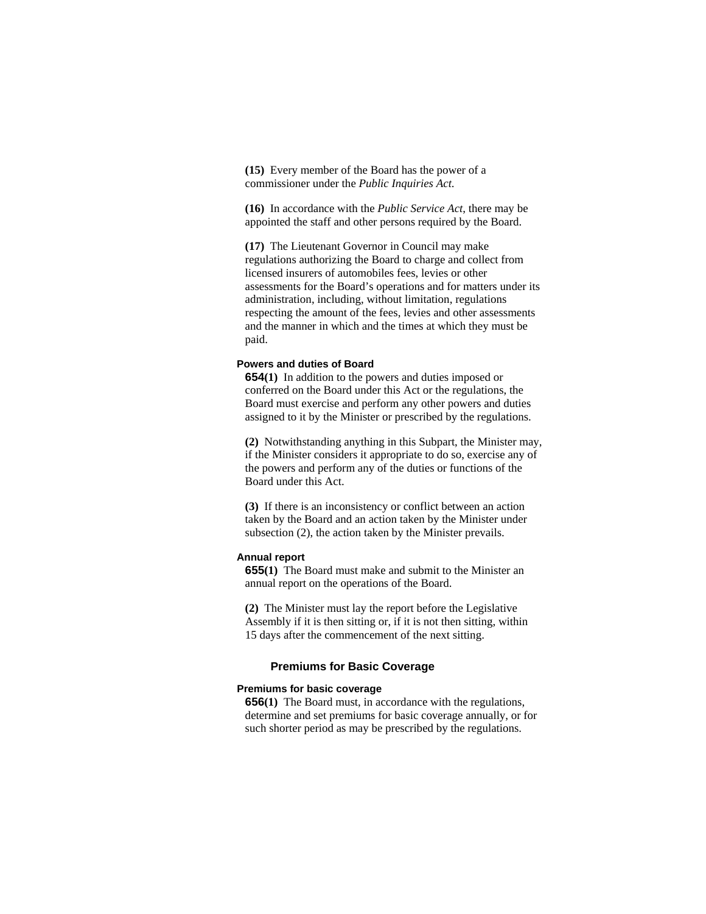**(15)** Every member of the Board has the power of a commissioner under the *Public Inquiries Act*.

**(16)** In accordance with the *Public Service Act*, there may be appointed the staff and other persons required by the Board.

**(17)** The Lieutenant Governor in Council may make regulations authorizing the Board to charge and collect from licensed insurers of automobiles fees, levies or other assessments for the Board's operations and for matters under its administration, including, without limitation, regulations respecting the amount of the fees, levies and other assessments and the manner in which and the times at which they must be paid.

#### **Powers and duties of Board**

**654(1)** In addition to the powers and duties imposed or conferred on the Board under this Act or the regulations, the Board must exercise and perform any other powers and duties assigned to it by the Minister or prescribed by the regulations.

**(2)** Notwithstanding anything in this Subpart, the Minister may, if the Minister considers it appropriate to do so, exercise any of the powers and perform any of the duties or functions of the Board under this Act.

**(3)** If there is an inconsistency or conflict between an action taken by the Board and an action taken by the Minister under subsection (2), the action taken by the Minister prevails.

## **Annual report**

**655(1)** The Board must make and submit to the Minister an annual report on the operations of the Board.

**(2)** The Minister must lay the report before the Legislative Assembly if it is then sitting or, if it is not then sitting, within 15 days after the commencement of the next sitting.

# **Premiums for Basic Coverage**

## **Premiums for basic coverage**

**656(1)** The Board must, in accordance with the regulations, determine and set premiums for basic coverage annually, or for such shorter period as may be prescribed by the regulations.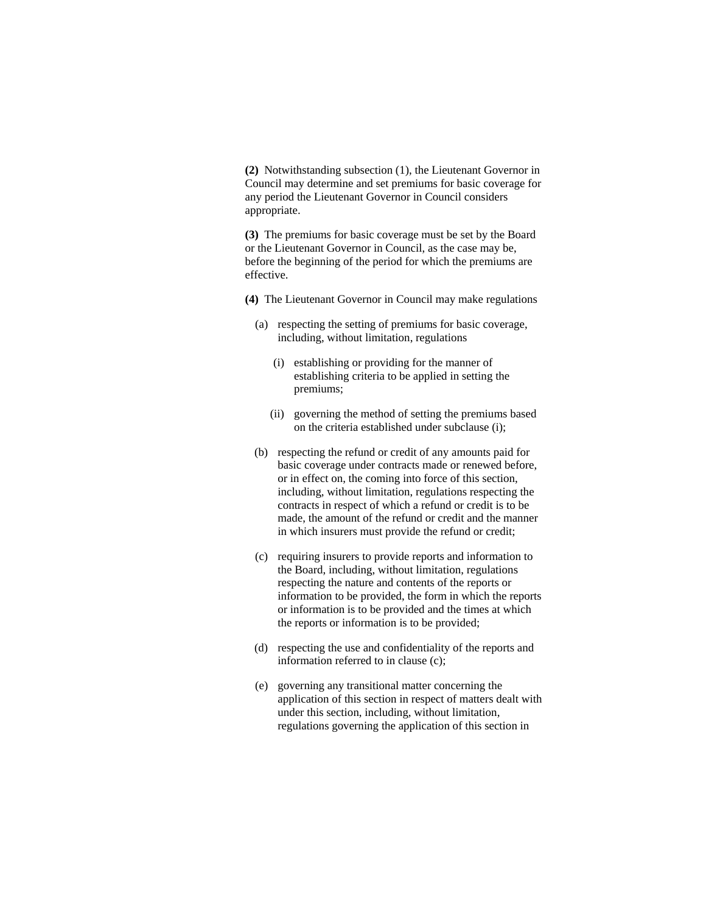**(2)** Notwithstanding subsection (1), the Lieutenant Governor in Council may determine and set premiums for basic coverage for any period the Lieutenant Governor in Council considers appropriate.

**(3)** The premiums for basic coverage must be set by the Board or the Lieutenant Governor in Council, as the case may be, before the beginning of the period for which the premiums are effective.

**(4)** The Lieutenant Governor in Council may make regulations

- (a) respecting the setting of premiums for basic coverage, including, without limitation, regulations
	- (i) establishing or providing for the manner of establishing criteria to be applied in setting the premiums;
	- (ii) governing the method of setting the premiums based on the criteria established under subclause (i);
- (b) respecting the refund or credit of any amounts paid for basic coverage under contracts made or renewed before, or in effect on, the coming into force of this section, including, without limitation, regulations respecting the contracts in respect of which a refund or credit is to be made, the amount of the refund or credit and the manner in which insurers must provide the refund or credit;
- (c) requiring insurers to provide reports and information to the Board, including, without limitation, regulations respecting the nature and contents of the reports or information to be provided, the form in which the reports or information is to be provided and the times at which the reports or information is to be provided;
- (d) respecting the use and confidentiality of the reports and information referred to in clause (c);
- (e) governing any transitional matter concerning the application of this section in respect of matters dealt with under this section, including, without limitation, regulations governing the application of this section in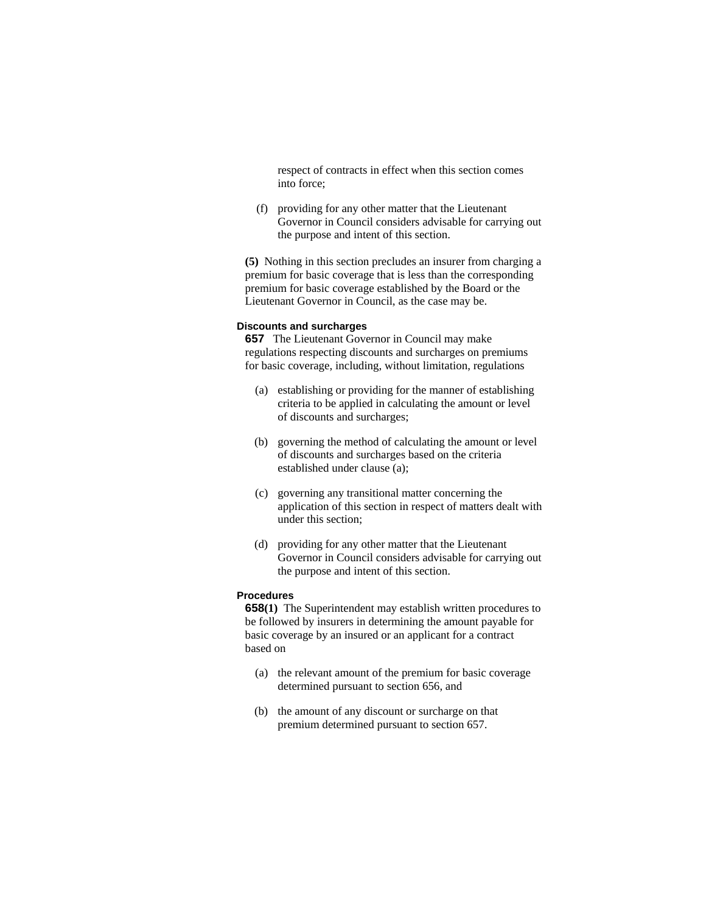respect of contracts in effect when this section comes into force;

 (f) providing for any other matter that the Lieutenant Governor in Council considers advisable for carrying out the purpose and intent of this section.

**(5)** Nothing in this section precludes an insurer from charging a premium for basic coverage that is less than the corresponding premium for basic coverage established by the Board or the Lieutenant Governor in Council, as the case may be.

### **Discounts and surcharges**

**657** The Lieutenant Governor in Council may make regulations respecting discounts and surcharges on premiums for basic coverage, including, without limitation, regulations

- (a) establishing or providing for the manner of establishing criteria to be applied in calculating the amount or level of discounts and surcharges;
- (b) governing the method of calculating the amount or level of discounts and surcharges based on the criteria established under clause (a);
- (c) governing any transitional matter concerning the application of this section in respect of matters dealt with under this section;
- (d) providing for any other matter that the Lieutenant Governor in Council considers advisable for carrying out the purpose and intent of this section.

#### **Procedures**

**658(1)** The Superintendent may establish written procedures to be followed by insurers in determining the amount payable for basic coverage by an insured or an applicant for a contract based on

- (a) the relevant amount of the premium for basic coverage determined pursuant to section 656, and
- (b) the amount of any discount or surcharge on that premium determined pursuant to section 657.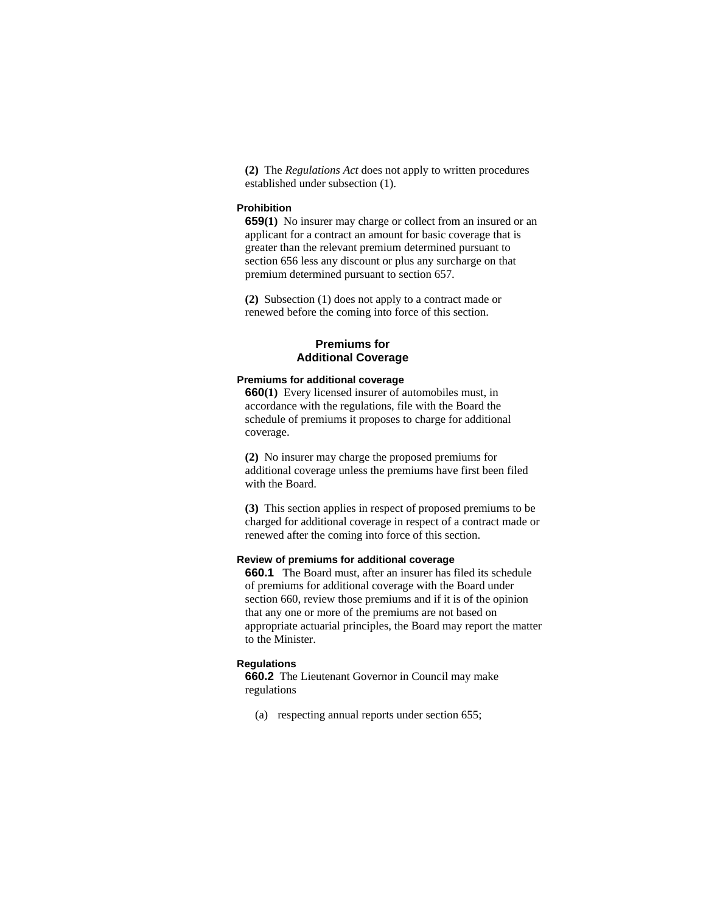**(2)** The *Regulations Act* does not apply to written procedures established under subsection (1).

# **Prohibition**

**659(1)** No insurer may charge or collect from an insured or an applicant for a contract an amount for basic coverage that is greater than the relevant premium determined pursuant to section 656 less any discount or plus any surcharge on that premium determined pursuant to section 657.

**(2)** Subsection (1) does not apply to a contract made or renewed before the coming into force of this section.

# **Premiums for Additional Coverage**

# **Premiums for additional coverage**

**660(1)** Every licensed insurer of automobiles must, in accordance with the regulations, file with the Board the schedule of premiums it proposes to charge for additional coverage.

**(2)** No insurer may charge the proposed premiums for additional coverage unless the premiums have first been filed with the Board.

**(3)** This section applies in respect of proposed premiums to be charged for additional coverage in respect of a contract made or renewed after the coming into force of this section.

## **Review of premiums for additional coverage**

**660.1** The Board must, after an insurer has filed its schedule of premiums for additional coverage with the Board under section 660, review those premiums and if it is of the opinion that any one or more of the premiums are not based on appropriate actuarial principles, the Board may report the matter to the Minister.

## **Regulations**

**660.2** The Lieutenant Governor in Council may make regulations

(a) respecting annual reports under section 655;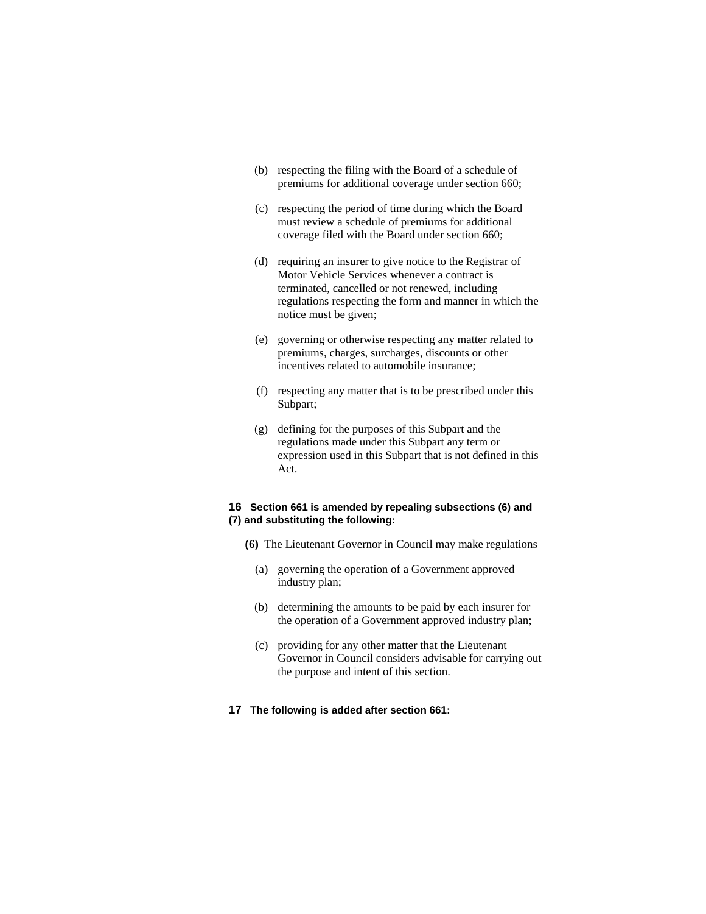- (b) respecting the filing with the Board of a schedule of premiums for additional coverage under section 660;
- (c) respecting the period of time during which the Board must review a schedule of premiums for additional coverage filed with the Board under section 660;
- (d) requiring an insurer to give notice to the Registrar of Motor Vehicle Services whenever a contract is terminated, cancelled or not renewed, including regulations respecting the form and manner in which the notice must be given;
- (e) governing or otherwise respecting any matter related to premiums, charges, surcharges, discounts or other incentives related to automobile insurance;
- (f) respecting any matter that is to be prescribed under this Subpart;
- (g) defining for the purposes of this Subpart and the regulations made under this Subpart any term or expression used in this Subpart that is not defined in this Act.

# **16 Section 661 is amended by repealing subsections (6) and (7) and substituting the following:**

- **(6)** The Lieutenant Governor in Council may make regulations
	- (a) governing the operation of a Government approved industry plan;
	- (b) determining the amounts to be paid by each insurer for the operation of a Government approved industry plan;
	- (c) providing for any other matter that the Lieutenant Governor in Council considers advisable for carrying out the purpose and intent of this section.
- **17 The following is added after section 661:**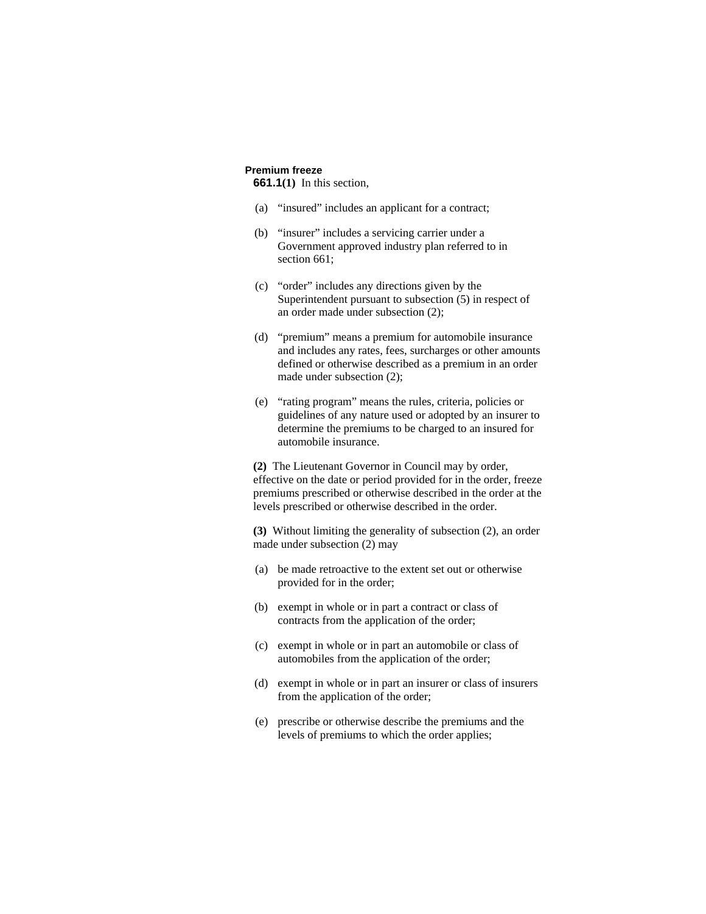# **Premium freeze**

**661.1(1)** In this section,

- (a) "insured" includes an applicant for a contract;
- (b) "insurer" includes a servicing carrier under a Government approved industry plan referred to in section 661:
- (c) "order" includes any directions given by the Superintendent pursuant to subsection (5) in respect of an order made under subsection (2);
- (d) "premium" means a premium for automobile insurance and includes any rates, fees, surcharges or other amounts defined or otherwise described as a premium in an order made under subsection (2);
- (e) "rating program" means the rules, criteria, policies or guidelines of any nature used or adopted by an insurer to determine the premiums to be charged to an insured for automobile insurance.

**(2)** The Lieutenant Governor in Council may by order, effective on the date or period provided for in the order, freeze premiums prescribed or otherwise described in the order at the levels prescribed or otherwise described in the order.

**(3)** Without limiting the generality of subsection (2), an order made under subsection (2) may

- (a) be made retroactive to the extent set out or otherwise provided for in the order;
- (b) exempt in whole or in part a contract or class of contracts from the application of the order;
- (c) exempt in whole or in part an automobile or class of automobiles from the application of the order;
- (d) exempt in whole or in part an insurer or class of insurers from the application of the order;
- (e) prescribe or otherwise describe the premiums and the levels of premiums to which the order applies;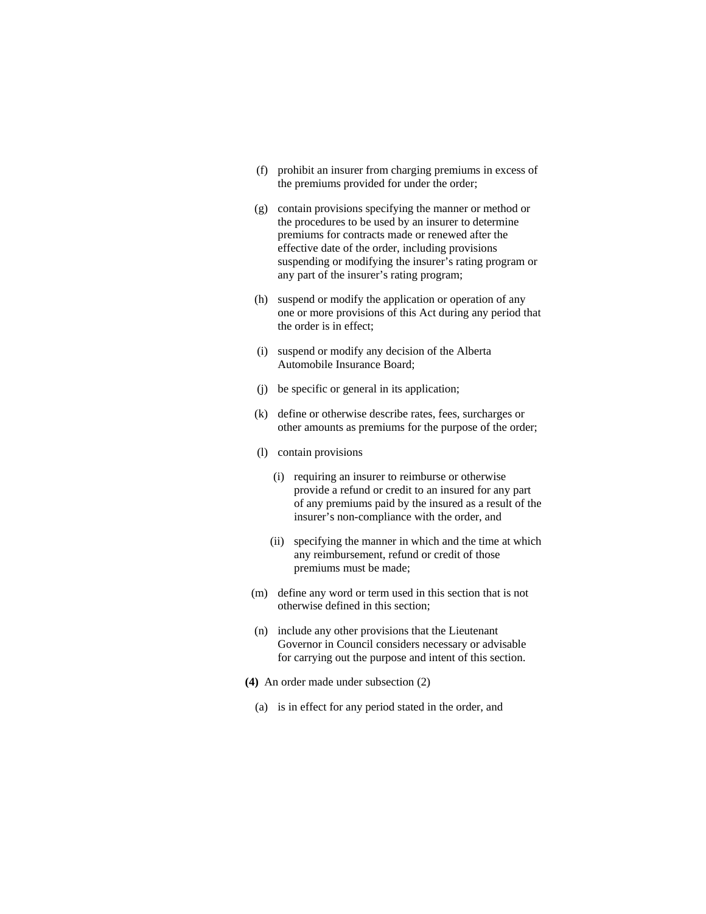- (f) prohibit an insurer from charging premiums in excess of the premiums provided for under the order;
- (g) contain provisions specifying the manner or method or the procedures to be used by an insurer to determine premiums for contracts made or renewed after the effective date of the order, including provisions suspending or modifying the insurer's rating program or any part of the insurer's rating program;
- (h) suspend or modify the application or operation of any one or more provisions of this Act during any period that the order is in effect;
- (i) suspend or modify any decision of the Alberta Automobile Insurance Board;
- (j) be specific or general in its application;
- (k) define or otherwise describe rates, fees, surcharges or other amounts as premiums for the purpose of the order;
- (l) contain provisions
	- (i) requiring an insurer to reimburse or otherwise provide a refund or credit to an insured for any part of any premiums paid by the insured as a result of the insurer's non-compliance with the order, and
	- (ii) specifying the manner in which and the time at which any reimbursement, refund or credit of those premiums must be made;
- (m) define any word or term used in this section that is not otherwise defined in this section;
- (n) include any other provisions that the Lieutenant Governor in Council considers necessary or advisable for carrying out the purpose and intent of this section.
- **(4)** An order made under subsection (2)
	- (a) is in effect for any period stated in the order, and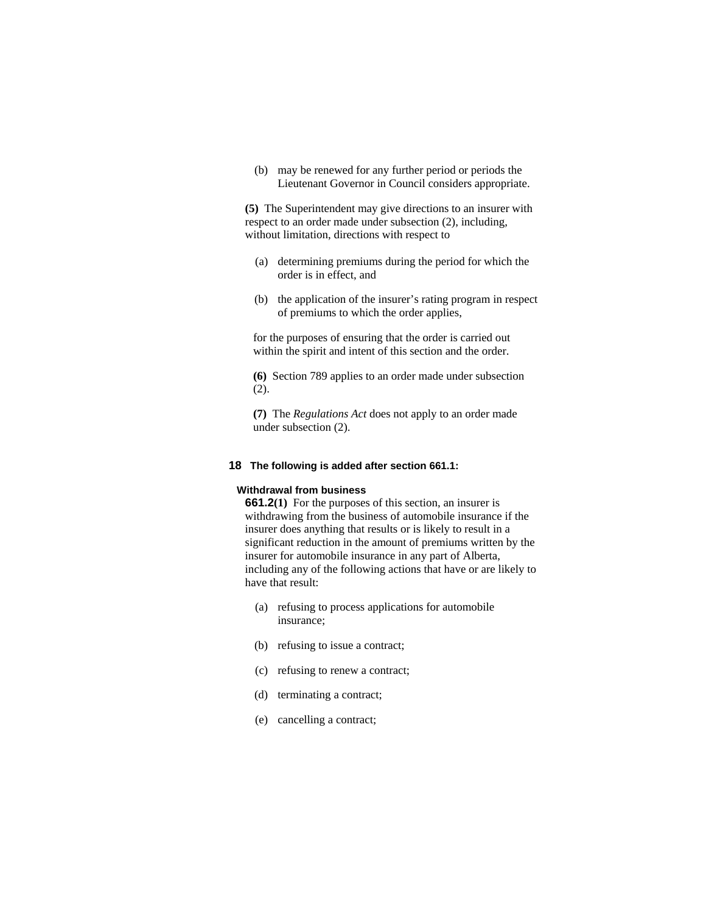(b) may be renewed for any further period or periods the Lieutenant Governor in Council considers appropriate.

**(5)** The Superintendent may give directions to an insurer with respect to an order made under subsection (2), including, without limitation, directions with respect to

- (a) determining premiums during the period for which the order is in effect, and
- (b) the application of the insurer's rating program in respect of premiums to which the order applies,

for the purposes of ensuring that the order is carried out within the spirit and intent of this section and the order.

**(6)** Section 789 applies to an order made under subsection (2).

**(7)** The *Regulations Act* does not apply to an order made under subsection (2).

#### **18 The following is added after section 661.1:**

#### **Withdrawal from business**

**661.2(1)** For the purposes of this section, an insurer is withdrawing from the business of automobile insurance if the insurer does anything that results or is likely to result in a significant reduction in the amount of premiums written by the insurer for automobile insurance in any part of Alberta, including any of the following actions that have or are likely to have that result:

- (a) refusing to process applications for automobile insurance;
- (b) refusing to issue a contract;
- (c) refusing to renew a contract;
- (d) terminating a contract;
- (e) cancelling a contract;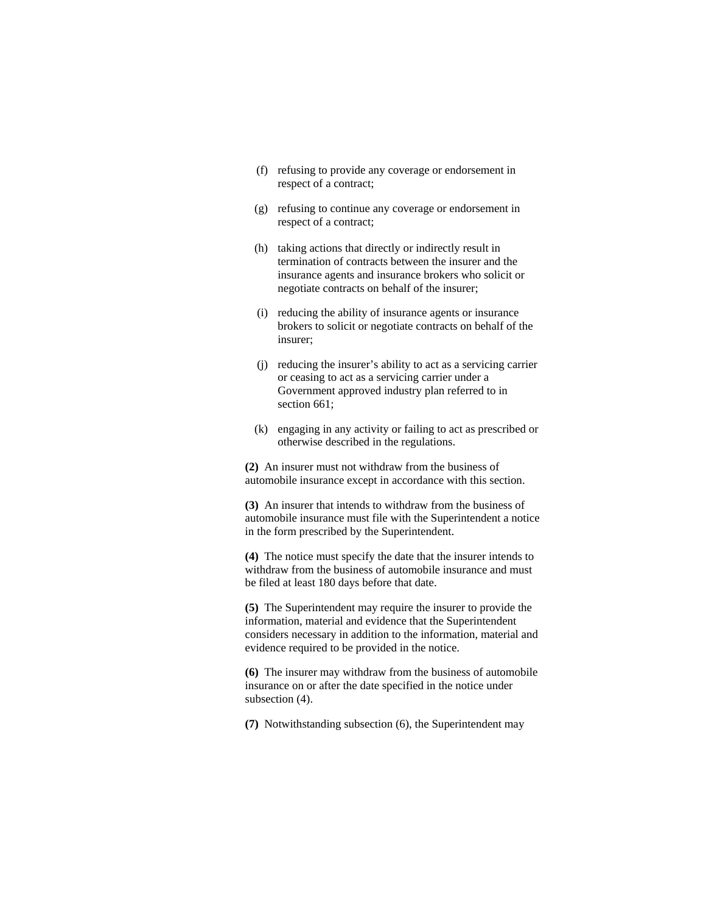- (f) refusing to provide any coverage or endorsement in respect of a contract;
- (g) refusing to continue any coverage or endorsement in respect of a contract;
- (h) taking actions that directly or indirectly result in termination of contracts between the insurer and the insurance agents and insurance brokers who solicit or negotiate contracts on behalf of the insurer;
- (i) reducing the ability of insurance agents or insurance brokers to solicit or negotiate contracts on behalf of the insurer;
- (j) reducing the insurer's ability to act as a servicing carrier or ceasing to act as a servicing carrier under a Government approved industry plan referred to in section 661;
- (k) engaging in any activity or failing to act as prescribed or otherwise described in the regulations.

**(2)** An insurer must not withdraw from the business of automobile insurance except in accordance with this section.

**(3)** An insurer that intends to withdraw from the business of automobile insurance must file with the Superintendent a notice in the form prescribed by the Superintendent.

**(4)** The notice must specify the date that the insurer intends to withdraw from the business of automobile insurance and must be filed at least 180 days before that date.

**(5)** The Superintendent may require the insurer to provide the information, material and evidence that the Superintendent considers necessary in addition to the information, material and evidence required to be provided in the notice.

**(6)** The insurer may withdraw from the business of automobile insurance on or after the date specified in the notice under subsection (4).

**(7)** Notwithstanding subsection (6), the Superintendent may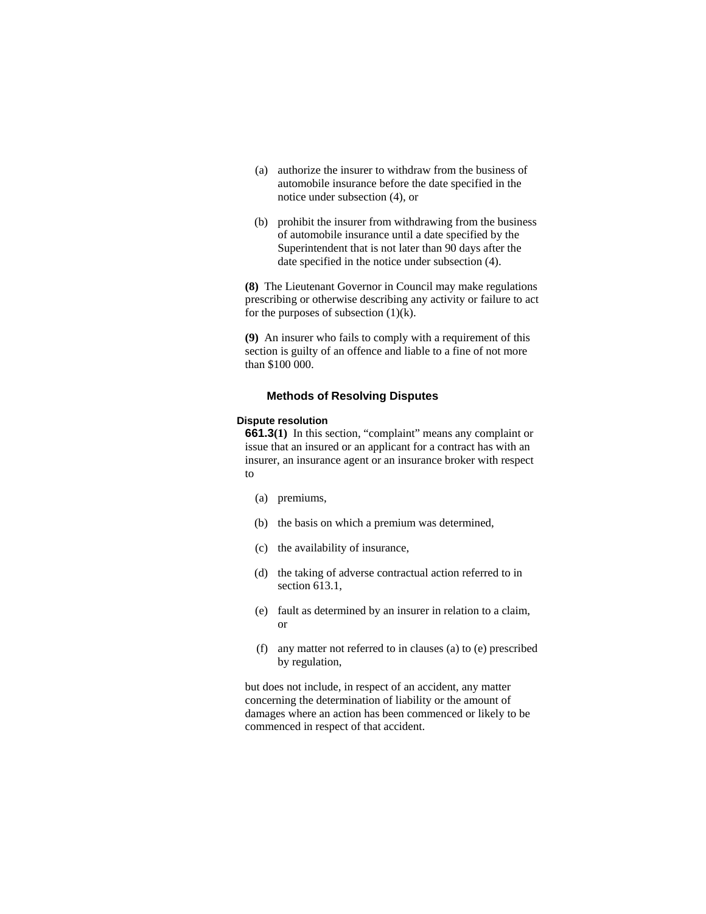- (a) authorize the insurer to withdraw from the business of automobile insurance before the date specified in the notice under subsection (4), or
- (b) prohibit the insurer from withdrawing from the business of automobile insurance until a date specified by the Superintendent that is not later than 90 days after the date specified in the notice under subsection (4).

**(8)** The Lieutenant Governor in Council may make regulations prescribing or otherwise describing any activity or failure to act for the purposes of subsection  $(1)(k)$ .

**(9)** An insurer who fails to comply with a requirement of this section is guilty of an offence and liable to a fine of not more than \$100 000.

## **Methods of Resolving Disputes**

#### **Dispute resolution**

**661.3(1)** In this section, "complaint" means any complaint or issue that an insured or an applicant for a contract has with an insurer, an insurance agent or an insurance broker with respect to

- (a) premiums,
- (b) the basis on which a premium was determined,
- (c) the availability of insurance,
- (d) the taking of adverse contractual action referred to in section 613.1.
- (e) fault as determined by an insurer in relation to a claim, or
- (f) any matter not referred to in clauses (a) to (e) prescribed by regulation,

but does not include, in respect of an accident, any matter concerning the determination of liability or the amount of damages where an action has been commenced or likely to be commenced in respect of that accident.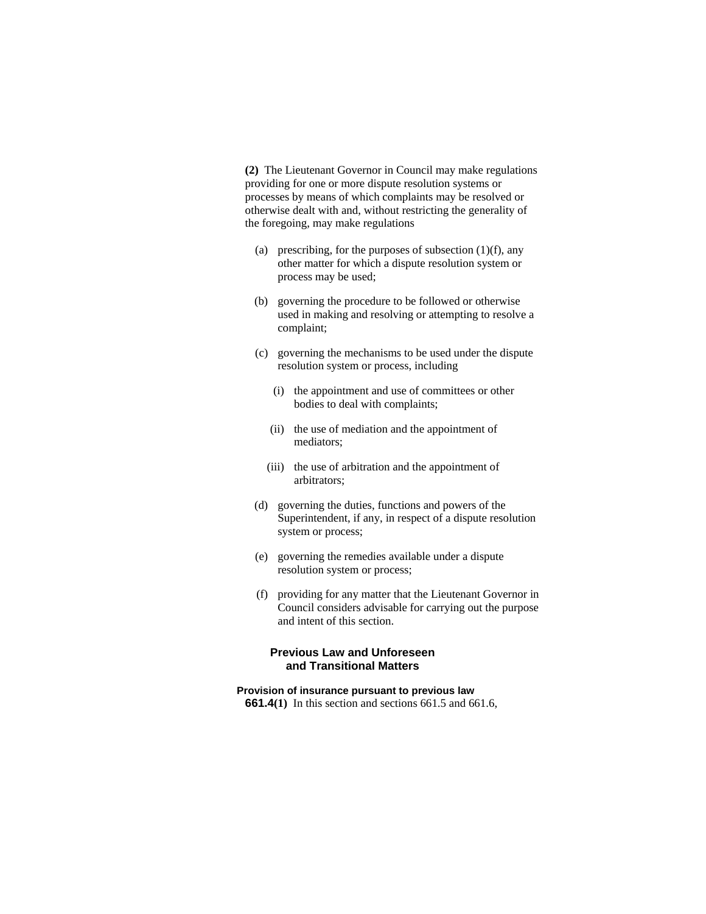**(2)** The Lieutenant Governor in Council may make regulations providing for one or more dispute resolution systems or processes by means of which complaints may be resolved or otherwise dealt with and, without restricting the generality of the foregoing, may make regulations

- (a) prescribing, for the purposes of subsection  $(1)(f)$ , any other matter for which a dispute resolution system or process may be used;
- (b) governing the procedure to be followed or otherwise used in making and resolving or attempting to resolve a complaint;
- (c) governing the mechanisms to be used under the dispute resolution system or process, including
	- (i) the appointment and use of committees or other bodies to deal with complaints;
	- (ii) the use of mediation and the appointment of mediators;
	- (iii) the use of arbitration and the appointment of arbitrators;
- (d) governing the duties, functions and powers of the Superintendent, if any, in respect of a dispute resolution system or process;
- (e) governing the remedies available under a dispute resolution system or process;
- (f) providing for any matter that the Lieutenant Governor in Council considers advisable for carrying out the purpose and intent of this section.

# **Previous Law and Unforeseen and Transitional Matters**

# **Provision of insurance pursuant to previous law**

**661.4(1)** In this section and sections 661.5 and 661.6,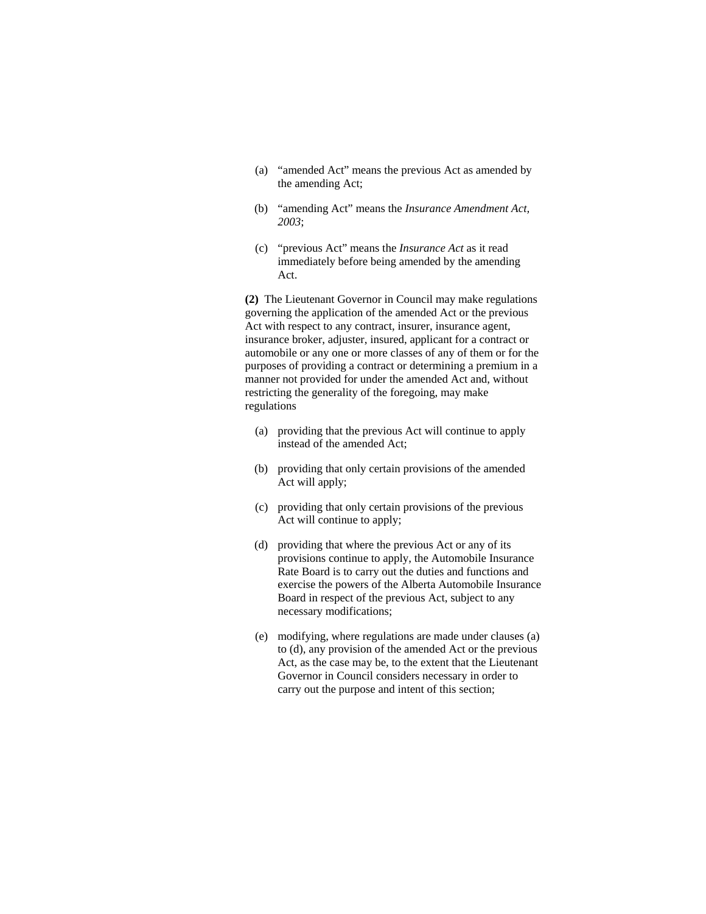- (a) "amended Act" means the previous Act as amended by the amending Act;
- (b) "amending Act" means the *Insurance Amendment Act, 2003*;
- (c) "previous Act" means the *Insurance Act* as it read immediately before being amended by the amending Act.

**(2)** The Lieutenant Governor in Council may make regulations governing the application of the amended Act or the previous Act with respect to any contract, insurer, insurance agent, insurance broker, adjuster, insured, applicant for a contract or automobile or any one or more classes of any of them or for the purposes of providing a contract or determining a premium in a manner not provided for under the amended Act and, without restricting the generality of the foregoing, may make regulations

- (a) providing that the previous Act will continue to apply instead of the amended Act;
- (b) providing that only certain provisions of the amended Act will apply;
- (c) providing that only certain provisions of the previous Act will continue to apply;
- (d) providing that where the previous Act or any of its provisions continue to apply, the Automobile Insurance Rate Board is to carry out the duties and functions and exercise the powers of the Alberta Automobile Insurance Board in respect of the previous Act, subject to any necessary modifications;
- (e) modifying, where regulations are made under clauses (a) to (d), any provision of the amended Act or the previous Act, as the case may be, to the extent that the Lieutenant Governor in Council considers necessary in order to carry out the purpose and intent of this section;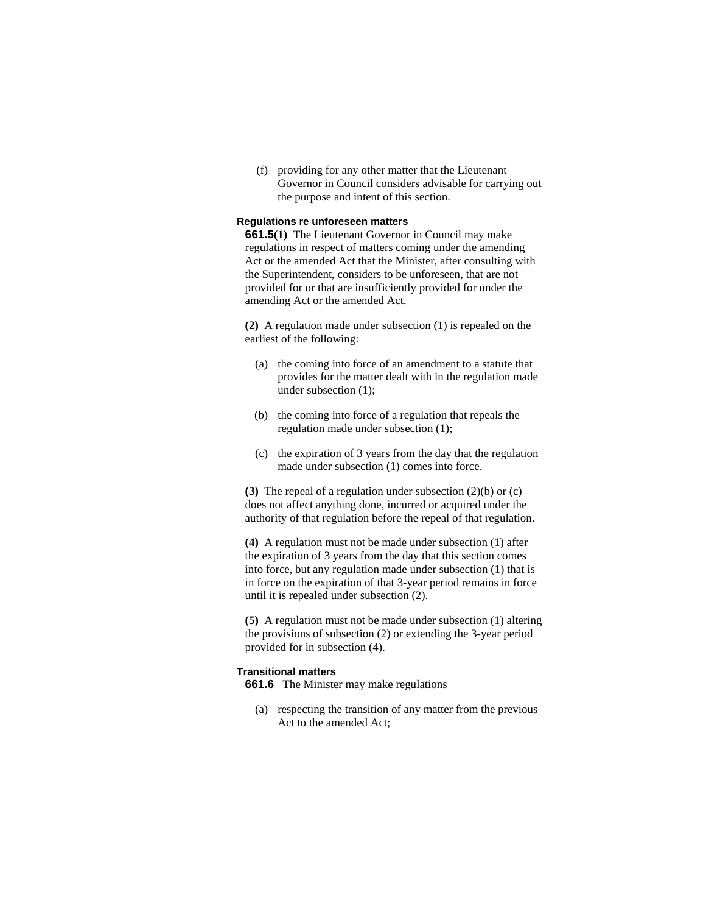(f) providing for any other matter that the Lieutenant Governor in Council considers advisable for carrying out the purpose and intent of this section.

# **Regulations re unforeseen matters**

**661.5(1)** The Lieutenant Governor in Council may make regulations in respect of matters coming under the amending Act or the amended Act that the Minister, after consulting with the Superintendent, considers to be unforeseen, that are not provided for or that are insufficiently provided for under the amending Act or the amended Act.

**(2)** A regulation made under subsection (1) is repealed on the earliest of the following:

- (a) the coming into force of an amendment to a statute that provides for the matter dealt with in the regulation made under subsection (1);
- (b) the coming into force of a regulation that repeals the regulation made under subsection (1);
- (c) the expiration of 3 years from the day that the regulation made under subsection (1) comes into force.

**(3)** The repeal of a regulation under subsection (2)(b) or (c) does not affect anything done, incurred or acquired under the authority of that regulation before the repeal of that regulation.

**(4)** A regulation must not be made under subsection (1) after the expiration of 3 years from the day that this section comes into force, but any regulation made under subsection (1) that is in force on the expiration of that 3-year period remains in force until it is repealed under subsection (2).

**(5)** A regulation must not be made under subsection (1) altering the provisions of subsection (2) or extending the 3-year period provided for in subsection (4).

## **Transitional matters**

**661.6** The Minister may make regulations

 (a) respecting the transition of any matter from the previous Act to the amended Act;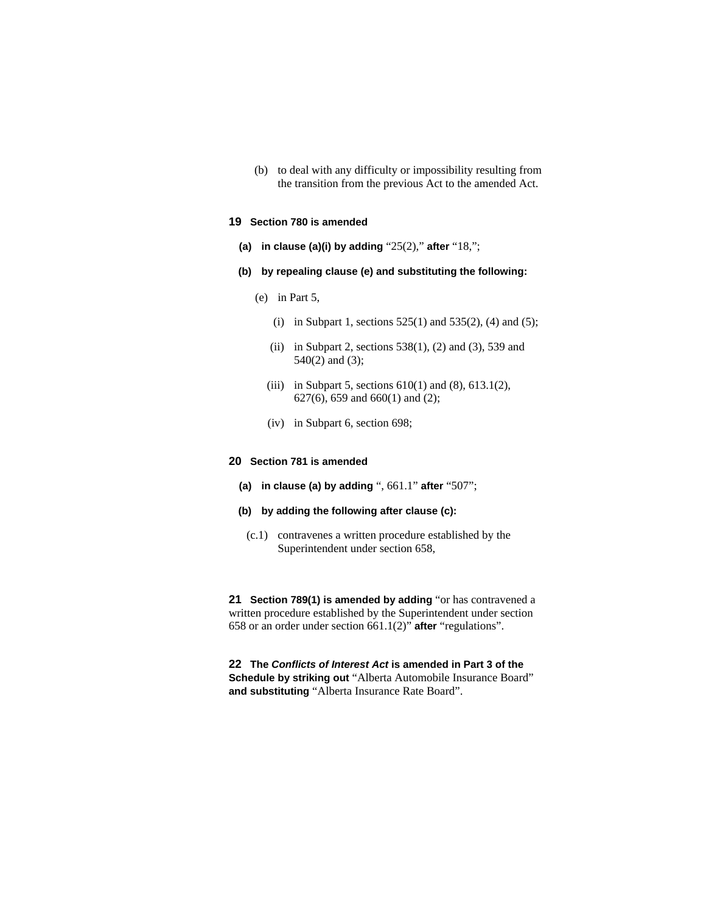(b) to deal with any difficulty or impossibility resulting from the transition from the previous Act to the amended Act.

## **19 Section 780 is amended**

- **(a) in clause (a)(i) by adding** "25(2)," **after** "18,";
- **(b) by repealing clause (e) and substituting the following:** 
	- (e) in Part 5,
		- (i) in Subpart 1, sections  $525(1)$  and  $535(2)$ , (4) and (5);
		- (ii) in Subpart 2, sections  $538(1)$ , (2) and (3), 539 and 540(2) and (3);
		- (iii) in Subpart 5, sections  $610(1)$  and  $(8)$ ,  $613.1(2)$ , 627(6), 659 and 660(1) and (2);
		- (iv) in Subpart 6, section 698;

## **20 Section 781 is amended**

- **(a) in clause (a) by adding** ", 661.1" **after** "507";
- **(b) by adding the following after clause (c):**
- (c.1) contravenes a written procedure established by the Superintendent under section 658,

**21 Section 789(1) is amended by adding** "or has contravened a written procedure established by the Superintendent under section 658 or an order under section 661.1(2)" **after** "regulations".

**22 The** *Conflicts of Interest Act* **is amended in Part 3 of the Schedule by striking out** "Alberta Automobile Insurance Board" **and substituting** "Alberta Insurance Rate Board".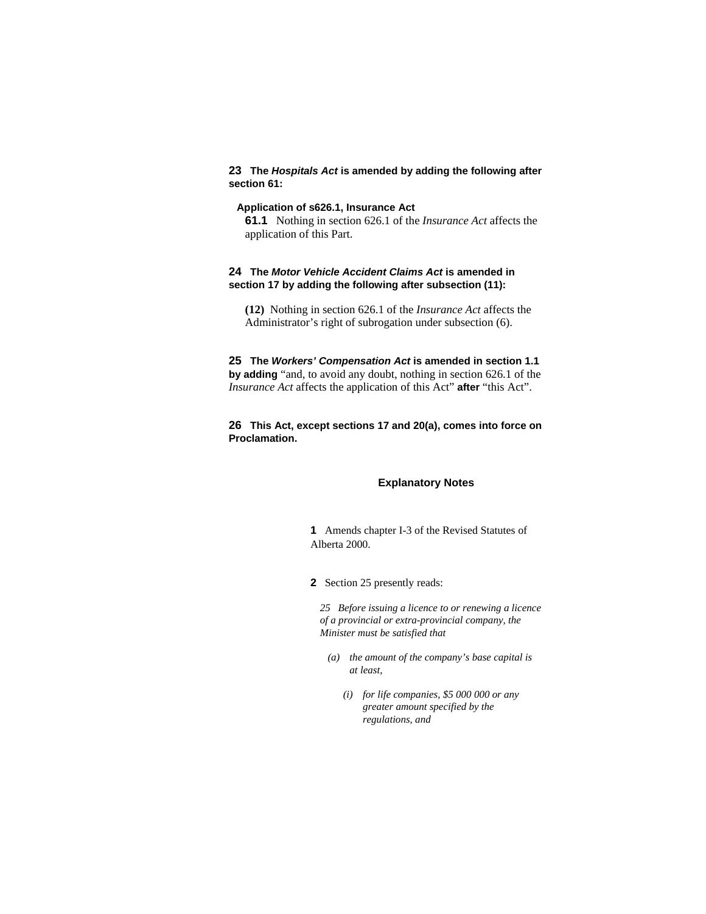# **23 The** *Hospitals Act* **is amended by adding the following after section 61:**

## **Application of s626.1, Insurance Act**

**61.1** Nothing in section 626.1 of the *Insurance Act* affects the application of this Part.

# **24 The** *Motor Vehicle Accident Claims Act* **is amended in section 17 by adding the following after subsection (11):**

**(12)** Nothing in section 626.1 of the *Insurance Act* affects the Administrator's right of subrogation under subsection (6).

**25 The** *Workers' Compensation Act* **is amended in section 1.1 by adding** "and, to avoid any doubt, nothing in section 626.1 of the *Insurance Act* affects the application of this Act" **after** "this Act".

# **26 This Act, except sections 17 and 20(a), comes into force on Proclamation.**

# **Explanatory Notes**

**1** Amends chapter I-3 of the Revised Statutes of Alberta 2000.

**2** Section 25 presently reads:

*25 Before issuing a licence to or renewing a licence of a provincial or extra-provincial company, the Minister must be satisfied that* 

- *(a) the amount of the company's base capital is at least,* 
	- *(i) for life companies, \$5 000 000 or any greater amount specified by the regulations, and*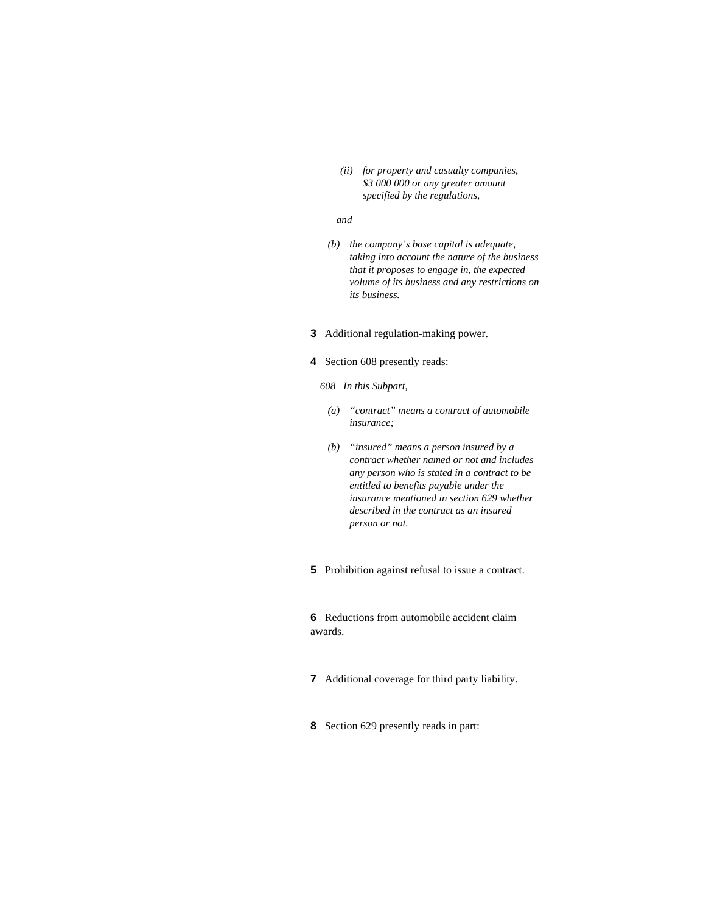*(ii) for property and casualty companies, \$3 000 000 or any greater amount specified by the regulations,* 

# *and*

 *(b) the company's base capital is adequate, taking into account the nature of the business that it proposes to engage in, the expected volume of its business and any restrictions on its business.* 

# **3** Additional regulation-making power.

# **4** Section 608 presently reads:

*608 In this Subpart,* 

- *(a) "contract" means a contract of automobile insurance;*
- *(b) "insured" means a person insured by a contract whether named or not and includes any person who is stated in a contract to be entitled to benefits payable under the insurance mentioned in section 629 whether described in the contract as an insured person or not.*
- **5** Prohibition against refusal to issue a contract.

**6** Reductions from automobile accident claim awards.

- **7** Additional coverage for third party liability.
- **8** Section 629 presently reads in part: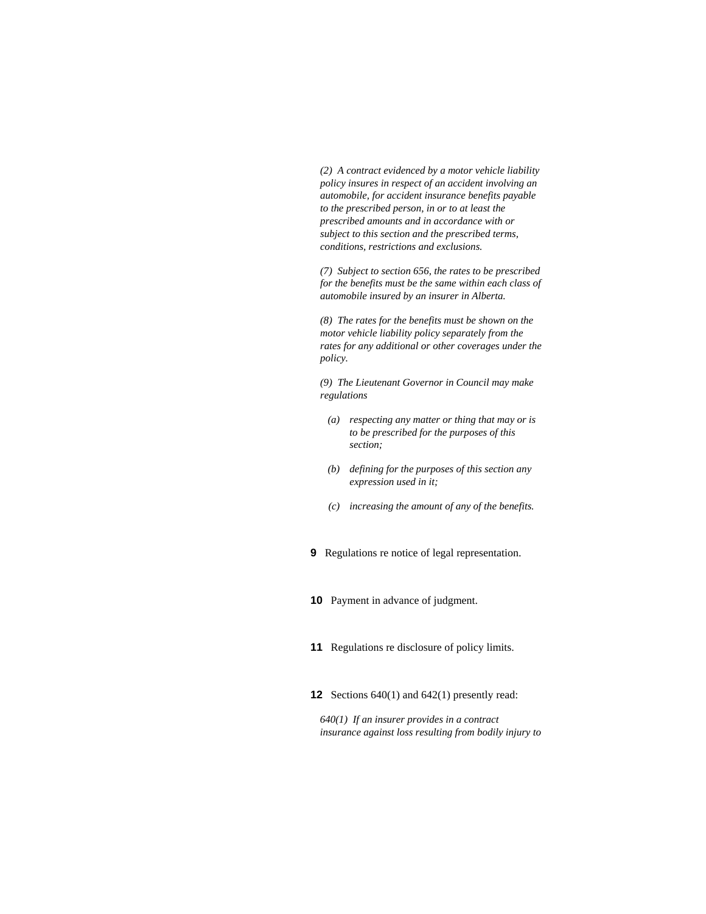*(2) A contract evidenced by a motor vehicle liability policy insures in respect of an accident involving an automobile, for accident insurance benefits payable to the prescribed person, in or to at least the prescribed amounts and in accordance with or subject to this section and the prescribed terms, conditions, restrictions and exclusions.* 

*(7) Subject to section 656, the rates to be prescribed for the benefits must be the same within each class of automobile insured by an insurer in Alberta.* 

*(8) The rates for the benefits must be shown on the motor vehicle liability policy separately from the rates for any additional or other coverages under the policy.* 

*(9) The Lieutenant Governor in Council may make regulations* 

- *(a) respecting any matter or thing that may or is to be prescribed for the purposes of this section;*
- *(b) defining for the purposes of this section any expression used in it;*
- *(c) increasing the amount of any of the benefits.*
- **9** Regulations re notice of legal representation.
- **10** Payment in advance of judgment.
- **11** Regulations re disclosure of policy limits.
- **12** Sections 640(1) and 642(1) presently read:

*640(1) If an insurer provides in a contract insurance against loss resulting from bodily injury to*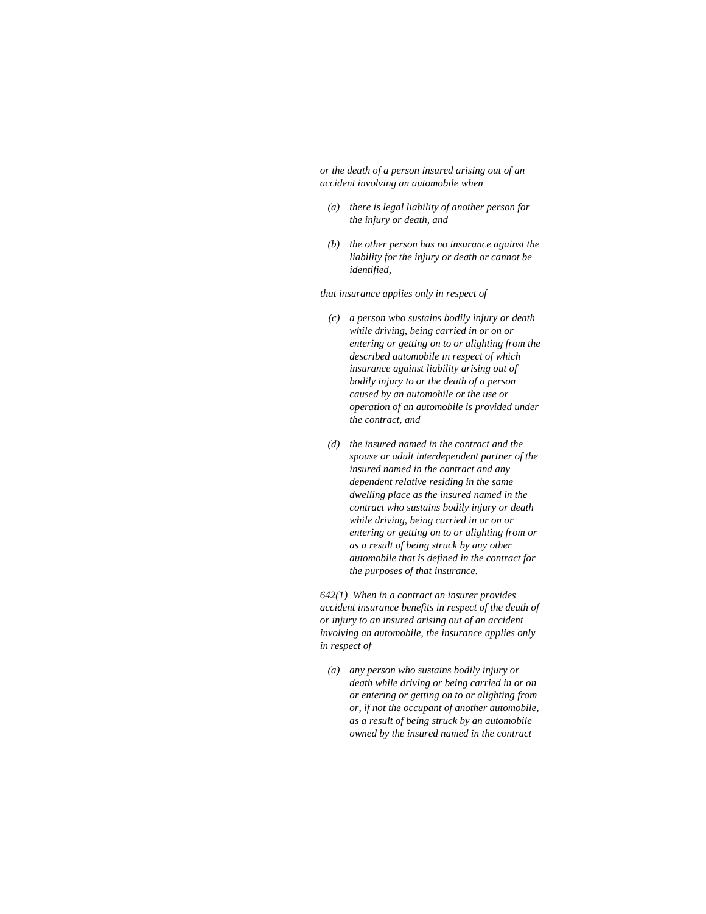*or the death of a person insured arising out of an accident involving an automobile when* 

- *(a) there is legal liability of another person for the injury or death, and*
- *(b) the other person has no insurance against the liability for the injury or death or cannot be identified,*

*that insurance applies only in respect of* 

- *(c) a person who sustains bodily injury or death while driving, being carried in or on or entering or getting on to or alighting from the described automobile in respect of which insurance against liability arising out of bodily injury to or the death of a person caused by an automobile or the use or operation of an automobile is provided under the contract, and*
- *(d) the insured named in the contract and the spouse or adult interdependent partner of the insured named in the contract and any dependent relative residing in the same dwelling place as the insured named in the contract who sustains bodily injury or death while driving, being carried in or on or entering or getting on to or alighting from or as a result of being struck by any other automobile that is defined in the contract for the purposes of that insurance.*

*642(1) When in a contract an insurer provides accident insurance benefits in respect of the death of or injury to an insured arising out of an accident involving an automobile, the insurance applies only in respect of* 

 *(a) any person who sustains bodily injury or death while driving or being carried in or on or entering or getting on to or alighting from or, if not the occupant of another automobile, as a result of being struck by an automobile owned by the insured named in the contract*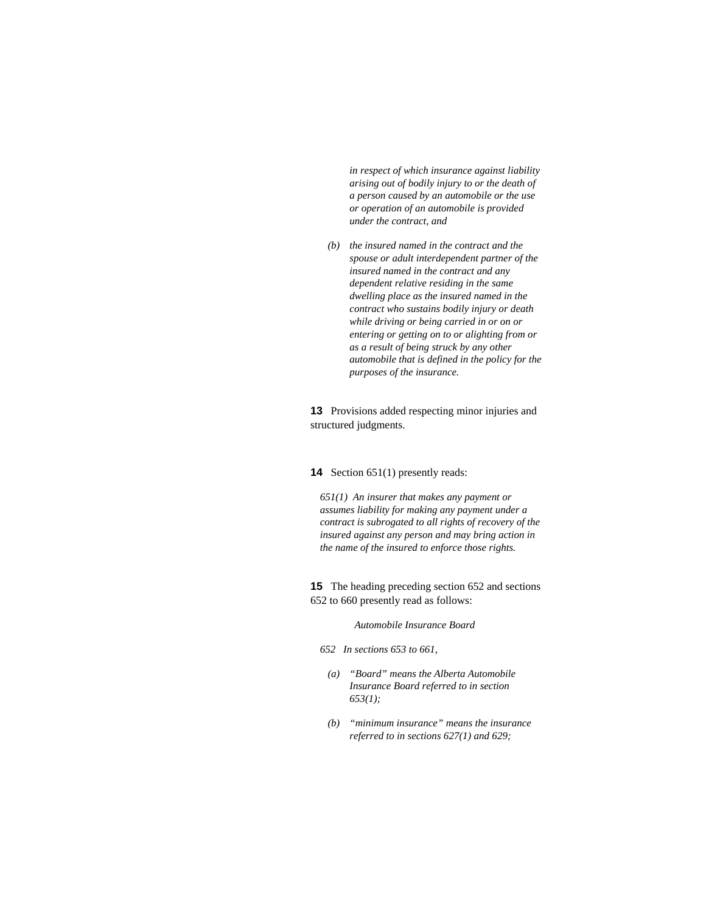*in respect of which insurance against liability arising out of bodily injury to or the death of a person caused by an automobile or the use or operation of an automobile is provided under the contract, and* 

 *(b) the insured named in the contract and the spouse or adult interdependent partner of the insured named in the contract and any dependent relative residing in the same dwelling place as the insured named in the contract who sustains bodily injury or death while driving or being carried in or on or entering or getting on to or alighting from or as a result of being struck by any other automobile that is defined in the policy for the purposes of the insurance.* 

**13** Provisions added respecting minor injuries and structured judgments.

#### **14** Section 651(1) presently reads:

*651(1) An insurer that makes any payment or assumes liability for making any payment under a contract is subrogated to all rights of recovery of the insured against any person and may bring action in the name of the insured to enforce those rights.* 

**15** The heading preceding section 652 and sections 652 to 660 presently read as follows:

#### *Automobile Insurance Board*

- *652 In sections 653 to 661,* 
	- *(a) "Board" means the Alberta Automobile Insurance Board referred to in section 653(1);*
	- *(b) "minimum insurance" means the insurance referred to in sections 627(1) and 629;*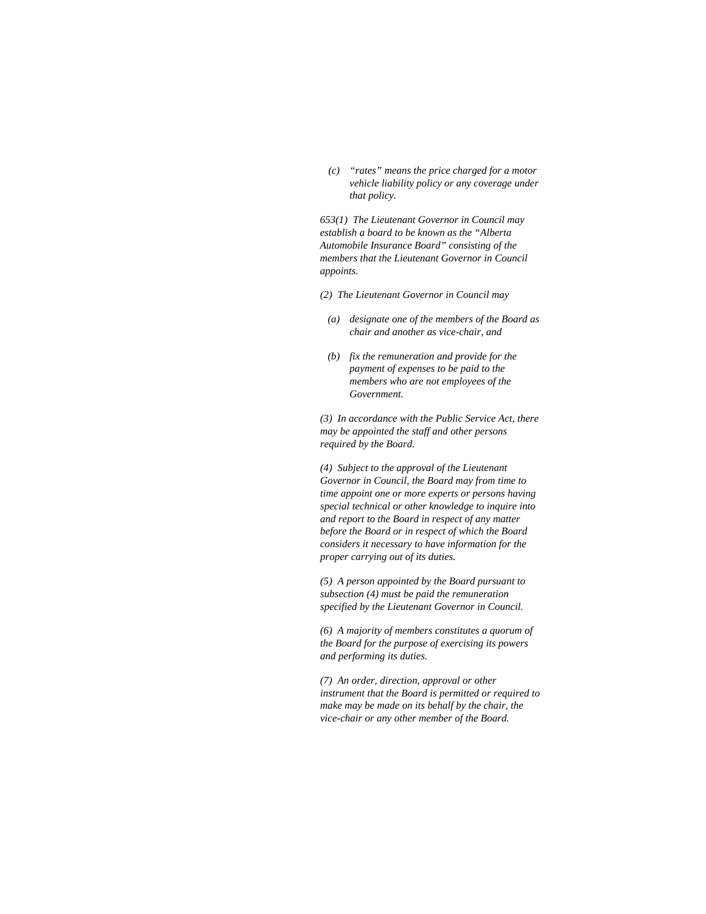*(c) "rates" means the price charged for a motor vehicle liability policy or any coverage under that policy.* 

*653(1) The Lieutenant Governor in Council may establish a board to be known as the "Alberta Automobile Insurance Board" consisting of the members that the Lieutenant Governor in Council appoints.* 

- *(2) The Lieutenant Governor in Council may*
- *(a) designate one of the members of the Board as chair and another as vice-chair, and*
- *(b) fix the remuneration and provide for the payment of expenses to be paid to the members who are not employees of the Government.*

*(3) In accordance with the Public Service Act, there may be appointed the staff and other persons required by the Board.* 

*(4) Subject to the approval of the Lieutenant Governor in Council, the Board may from time to time appoint one or more experts or persons having special technical or other knowledge to inquire into and report to the Board in respect of any matter before the Board or in respect of which the Board considers it necessary to have information for the proper carrying out of its duties.* 

*(5) A person appointed by the Board pursuant to subsection (4) must be paid the remuneration specified by the Lieutenant Governor in Council.* 

*(6) A majority of members constitutes a quorum of the Board for the purpose of exercising its powers and performing its duties.* 

*(7) An order, direction, approval or other instrument that the Board is permitted or required to make may be made on its behalf by the chair, the vice-chair or any other member of the Board.*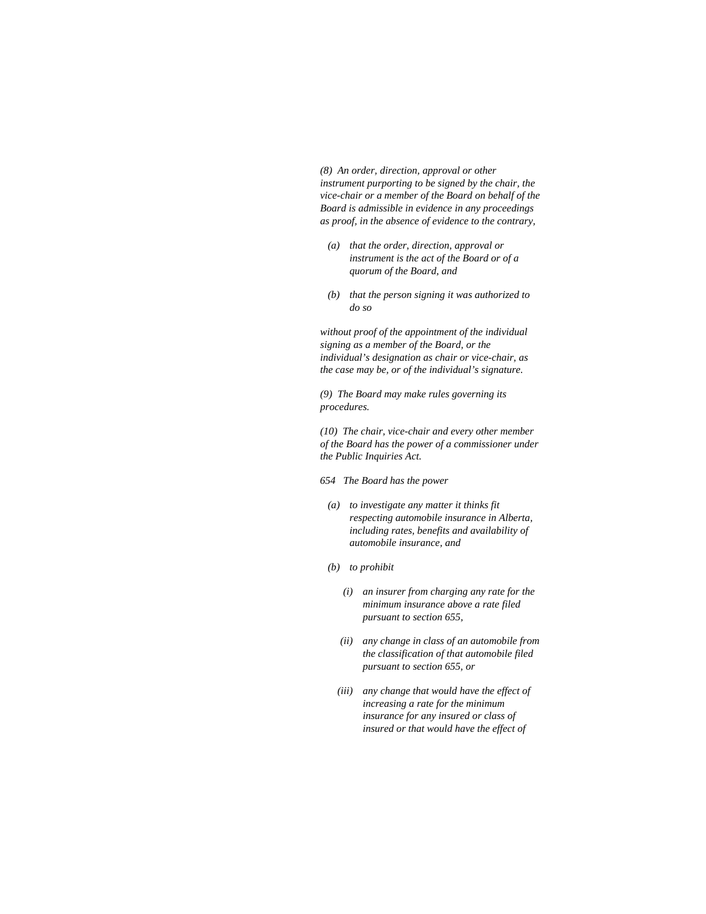*(8) An order, direction, approval or other instrument purporting to be signed by the chair, the vice-chair or a member of the Board on behalf of the Board is admissible in evidence in any proceedings as proof, in the absence of evidence to the contrary,* 

- *(a) that the order, direction, approval or instrument is the act of the Board or of a quorum of the Board, and*
- *(b) that the person signing it was authorized to do so*

*without proof of the appointment of the individual signing as a member of the Board, or the individual's designation as chair or vice-chair, as the case may be, or of the individual's signature.* 

*(9) The Board may make rules governing its procedures.* 

*(10) The chair, vice-chair and every other member of the Board has the power of a commissioner under the Public Inquiries Act.* 

- *654 The Board has the power*
- *(a) to investigate any matter it thinks fit respecting automobile insurance in Alberta, including rates, benefits and availability of automobile insurance, and*
- *(b) to prohibit* 
	- *(i) an insurer from charging any rate for the minimum insurance above a rate filed pursuant to section 655,*
	- *(ii) any change in class of an automobile from the classification of that automobile filed pursuant to section 655, or*
	- *(iii) any change that would have the effect of increasing a rate for the minimum insurance for any insured or class of insured or that would have the effect of*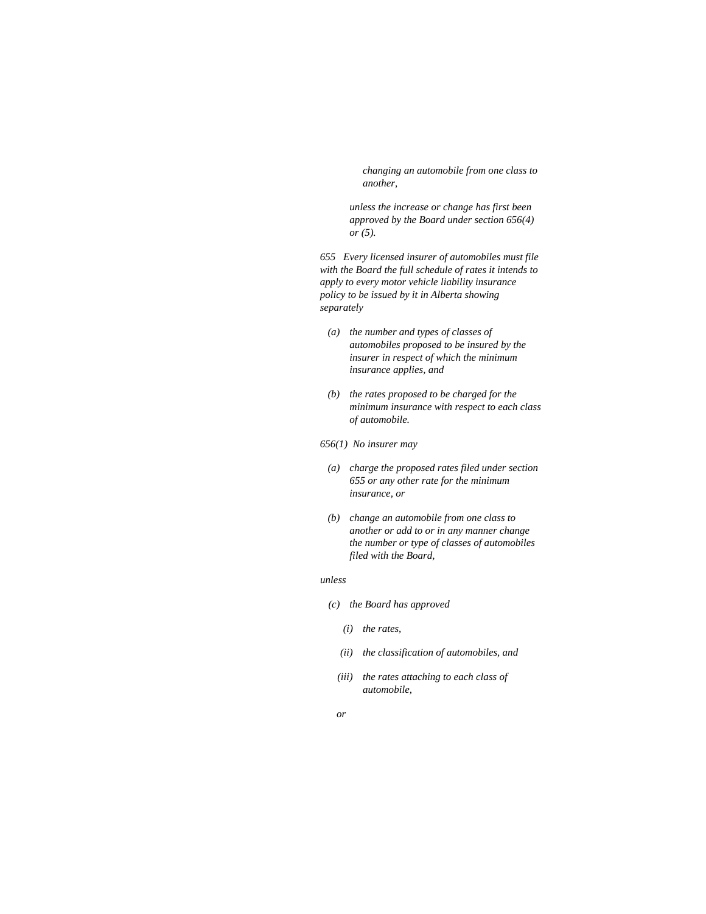*changing an automobile from one class to another,* 

 *unless the increase or change has first been approved by the Board under section 656(4) or (5).* 

*655 Every licensed insurer of automobiles must file with the Board the full schedule of rates it intends to apply to every motor vehicle liability insurance policy to be issued by it in Alberta showing separately* 

- *(a) the number and types of classes of automobiles proposed to be insured by the insurer in respect of which the minimum insurance applies, and*
- *(b) the rates proposed to be charged for the minimum insurance with respect to each class of automobile.*

#### *656(1) No insurer may*

- *(a) charge the proposed rates filed under section 655 or any other rate for the minimum insurance, or*
- *(b) change an automobile from one class to another or add to or in any manner change the number or type of classes of automobiles filed with the Board,*

#### *unless*

- *(c) the Board has approved* 
	- *(i) the rates,*
	- *(ii) the classification of automobiles, and*
	- *(iii) the rates attaching to each class of automobile,*
- *or*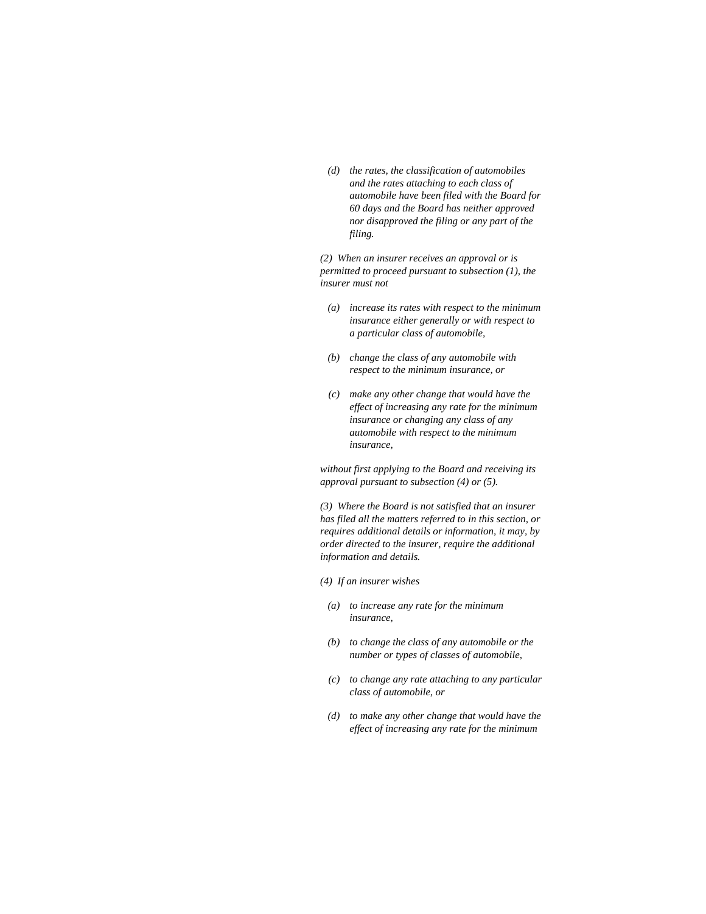*(d) the rates, the classification of automobiles and the rates attaching to each class of automobile have been filed with the Board for 60 days and the Board has neither approved nor disapproved the filing or any part of the filing.* 

*(2) When an insurer receives an approval or is permitted to proceed pursuant to subsection (1), the insurer must not* 

- *(a) increase its rates with respect to the minimum insurance either generally or with respect to a particular class of automobile,*
- *(b) change the class of any automobile with respect to the minimum insurance, or*
- *(c) make any other change that would have the effect of increasing any rate for the minimum insurance or changing any class of any automobile with respect to the minimum insurance,*

*without first applying to the Board and receiving its approval pursuant to subsection (4) or (5).* 

*(3) Where the Board is not satisfied that an insurer has filed all the matters referred to in this section, or requires additional details or information, it may, by order directed to the insurer, require the additional information and details.* 

*(4) If an insurer wishes* 

- *(a) to increase any rate for the minimum insurance,*
- *(b) to change the class of any automobile or the number or types of classes of automobile,*
- *(c) to change any rate attaching to any particular class of automobile, or*
- *(d) to make any other change that would have the effect of increasing any rate for the minimum*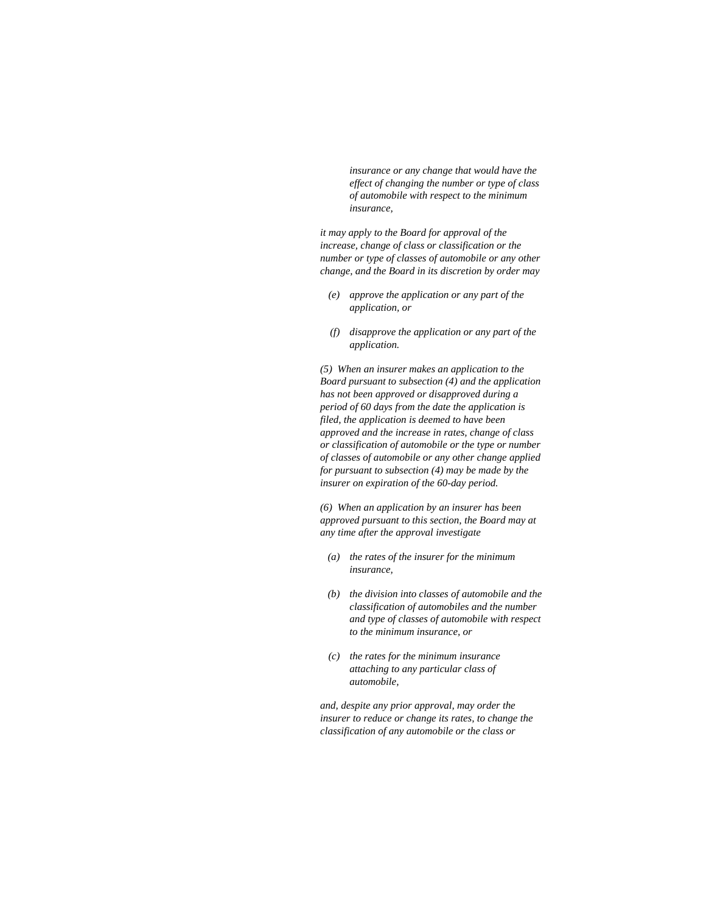*insurance or any change that would have the effect of changing the number or type of class of automobile with respect to the minimum insurance,* 

*it may apply to the Board for approval of the increase, change of class or classification or the number or type of classes of automobile or any other change, and the Board in its discretion by order may* 

- *(e) approve the application or any part of the application, or*
- *(f) disapprove the application or any part of the application.*

*(5) When an insurer makes an application to the Board pursuant to subsection (4) and the application has not been approved or disapproved during a period of 60 days from the date the application is filed, the application is deemed to have been approved and the increase in rates, change of class or classification of automobile or the type or number of classes of automobile or any other change applied for pursuant to subsection (4) may be made by the insurer on expiration of the 60-day period.* 

*(6) When an application by an insurer has been approved pursuant to this section, the Board may at any time after the approval investigate* 

- *(a) the rates of the insurer for the minimum insurance,*
- *(b) the division into classes of automobile and the classification of automobiles and the number and type of classes of automobile with respect to the minimum insurance, or*
- *(c) the rates for the minimum insurance attaching to any particular class of automobile,*

*and, despite any prior approval, may order the insurer to reduce or change its rates, to change the classification of any automobile or the class or*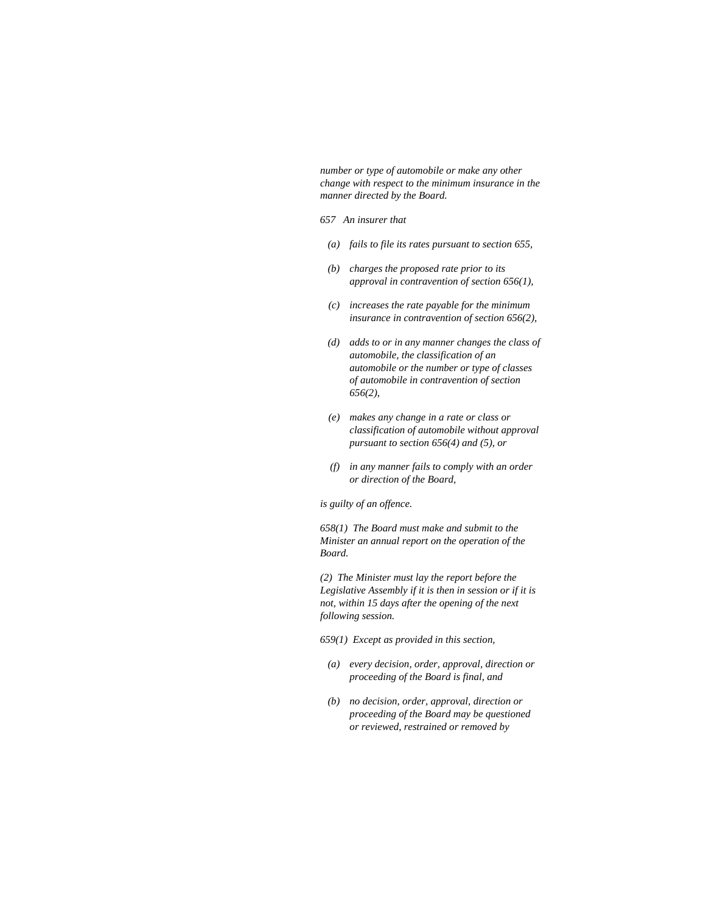*number or type of automobile or make any other change with respect to the minimum insurance in the manner directed by the Board.* 

- *657 An insurer that*
- *(a) fails to file its rates pursuant to section 655,*
- *(b) charges the proposed rate prior to its approval in contravention of section 656(1),*
- *(c) increases the rate payable for the minimum insurance in contravention of section 656(2),*
- *(d) adds to or in any manner changes the class of automobile, the classification of an automobile or the number or type of classes of automobile in contravention of section 656(2),*
- *(e) makes any change in a rate or class or classification of automobile without approval pursuant to section 656(4) and (5), or*
- *(f) in any manner fails to comply with an order or direction of the Board,*

*is guilty of an offence.* 

*658(1) The Board must make and submit to the Minister an annual report on the operation of the Board.* 

*(2) The Minister must lay the report before the Legislative Assembly if it is then in session or if it is not, within 15 days after the opening of the next following session.* 

- *659(1) Except as provided in this section,*
- *(a) every decision, order, approval, direction or proceeding of the Board is final, and*
- *(b) no decision, order, approval, direction or proceeding of the Board may be questioned or reviewed, restrained or removed by*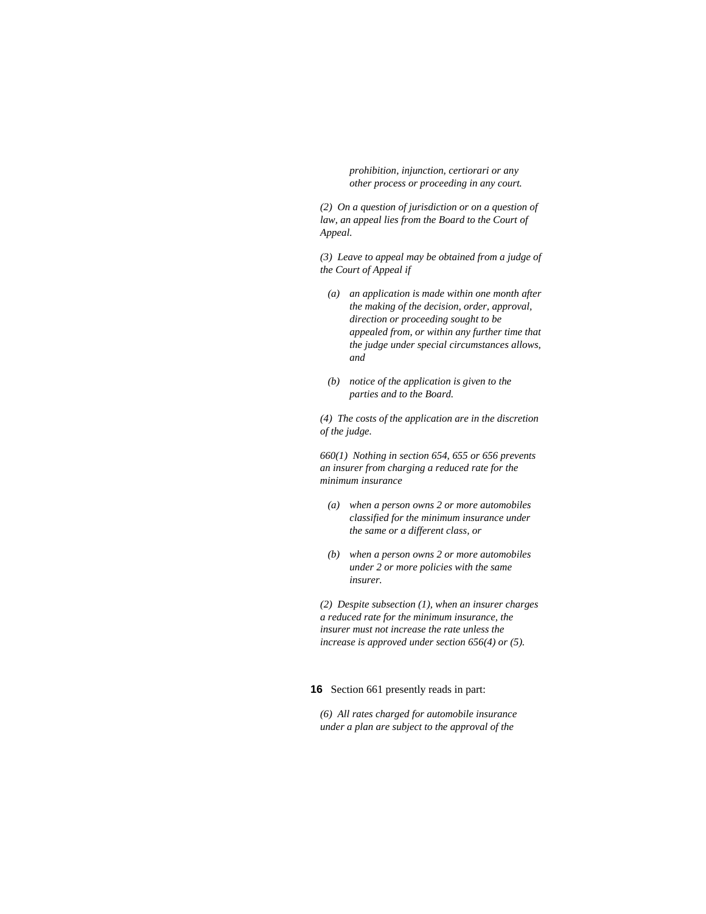*prohibition, injunction, certiorari or any other process or proceeding in any court.* 

*(2) On a question of jurisdiction or on a question of law, an appeal lies from the Board to the Court of Appeal.* 

*(3) Leave to appeal may be obtained from a judge of the Court of Appeal if* 

- *(a) an application is made within one month after the making of the decision, order, approval, direction or proceeding sought to be appealed from, or within any further time that the judge under special circumstances allows, and*
- *(b) notice of the application is given to the parties and to the Board.*

*(4) The costs of the application are in the discretion of the judge.* 

*660(1) Nothing in section 654, 655 or 656 prevents an insurer from charging a reduced rate for the minimum insurance* 

- *(a) when a person owns 2 or more automobiles classified for the minimum insurance under the same or a different class, or*
- *(b) when a person owns 2 or more automobiles under 2 or more policies with the same insurer.*

*(2) Despite subsection (1), when an insurer charges a reduced rate for the minimum insurance, the insurer must not increase the rate unless the increase is approved under section 656(4) or (5).* 

**16** Section 661 presently reads in part:

*(6) All rates charged for automobile insurance under a plan are subject to the approval of the*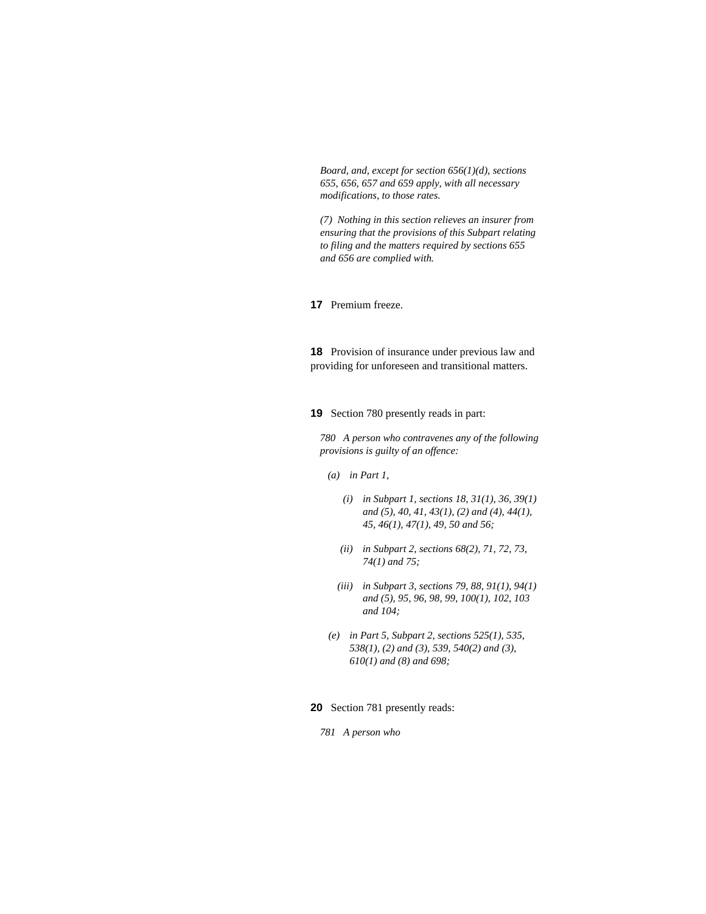*Board, and, except for section 656(1)(d), sections 655, 656, 657 and 659 apply, with all necessary modifications, to those rates.* 

*(7) Nothing in this section relieves an insurer from ensuring that the provisions of this Subpart relating to filing and the matters required by sections 655 and 656 are complied with.* 

**17** Premium freeze.

**18** Provision of insurance under previous law and providing for unforeseen and transitional matters.

**19** Section 780 presently reads in part:

*780 A person who contravenes any of the following provisions is guilty of an offence:* 

- *(a) in Part 1,* 
	- *(i) in Subpart 1, sections 18, 31(1), 36, 39(1) and (5), 40, 41, 43(1), (2) and (4), 44(1), 45, 46(1), 47(1), 49, 50 and 56;*
	- *(ii) in Subpart 2, sections 68(2), 71, 72, 73, 74(1) and 75;*
	- *(iii) in Subpart 3, sections 79, 88, 91(1), 94(1) and (5), 95, 96, 98, 99, 100(1), 102, 103 and 104;*
- *(e) in Part 5, Subpart 2, sections 525(1), 535, 538(1), (2) and (3), 539, 540(2) and (3), 610(1) and (8) and 698;*

**20** Section 781 presently reads:

*781 A person who*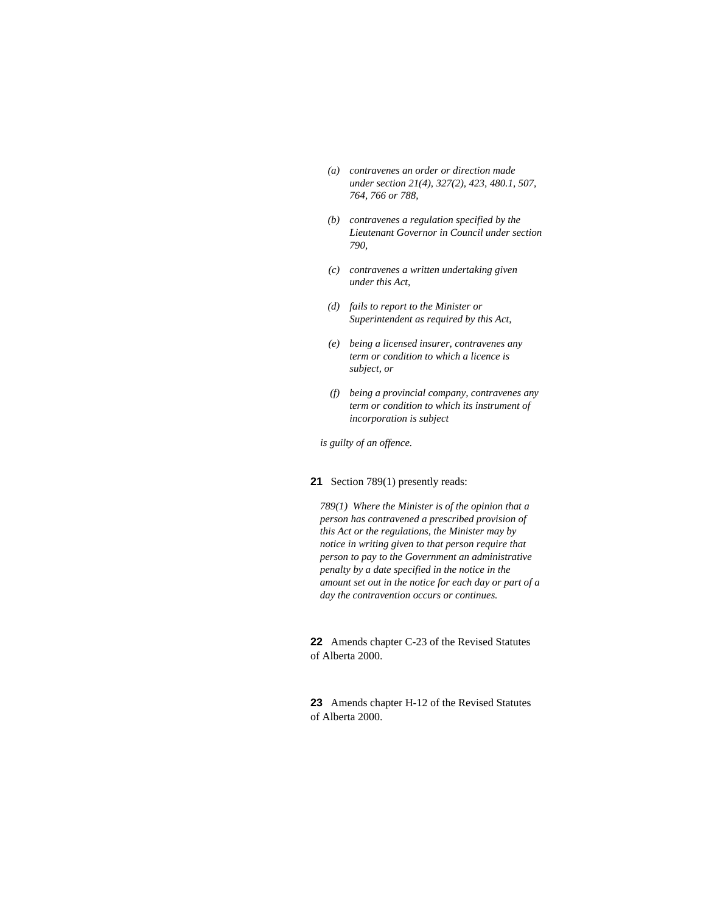- *(a) contravenes an order or direction made under section 21(4), 327(2), 423, 480.1, 507, 764, 766 or 788,*
- *(b) contravenes a regulation specified by the Lieutenant Governor in Council under section 790,*
- *(c) contravenes a written undertaking given under this Act,*
- *(d) fails to report to the Minister or Superintendent as required by this Act,*
- *(e) being a licensed insurer, contravenes any term or condition to which a licence is subject, or*
- *(f) being a provincial company, contravenes any term or condition to which its instrument of incorporation is subject*

*is guilty of an offence.* 

**21** Section 789(1) presently reads:

*789(1) Where the Minister is of the opinion that a person has contravened a prescribed provision of this Act or the regulations, the Minister may by notice in writing given to that person require that person to pay to the Government an administrative penalty by a date specified in the notice in the amount set out in the notice for each day or part of a day the contravention occurs or continues.* 

**22** Amends chapter C-23 of the Revised Statutes of Alberta 2000.

**23** Amends chapter H-12 of the Revised Statutes of Alberta 2000.